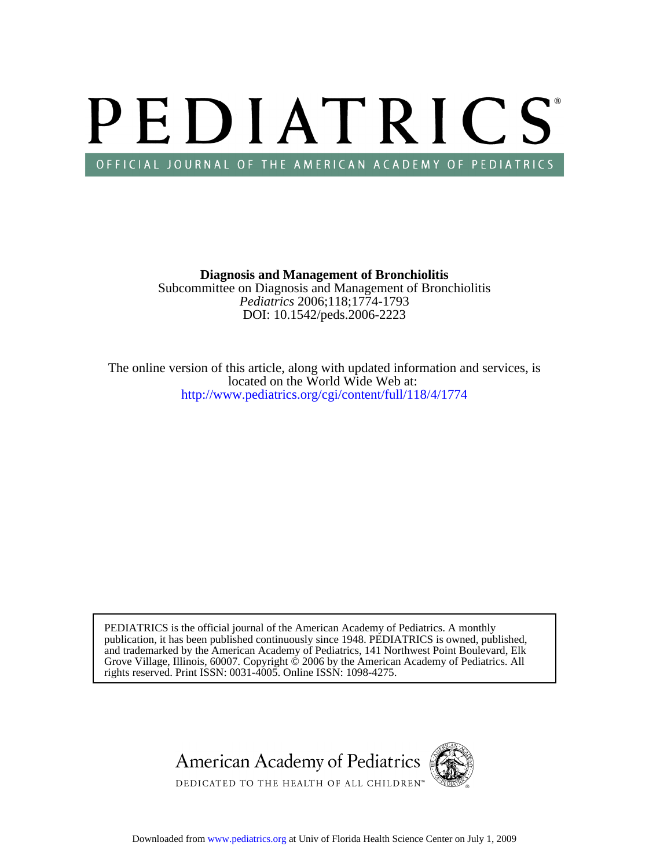# PEDIATRICS OFFICIAL JOURNAL OF THE AMERICAN ACADEMY OF PEDIATRICS

DOI: 10.1542/peds.2006-2223 *Pediatrics* 2006;118;1774-1793 Subcommittee on Diagnosis and Management of Bronchiolitis **Diagnosis and Management of Bronchiolitis**

<http://www.pediatrics.org/cgi/content/full/118/4/1774> located on the World Wide Web at: The online version of this article, along with updated information and services, is

rights reserved. Print ISSN: 0031-4005. Online ISSN: 1098-4275. Grove Village, Illinois, 60007. Copyright  $\ddot{\odot}$  2006 by the American Academy of Pediatrics. All and trademarked by the American Academy of Pediatrics, 141 Northwest Point Boulevard, Elk publication, it has been published continuously since 1948. PEDIATRICS is owned, published, PEDIATRICS is the official journal of the American Academy of Pediatrics. A monthly



Downloaded from [www.pediatrics.org](http://pediatrics.aappublications.org) at Univ of Florida Health Science Center on July 1, 2009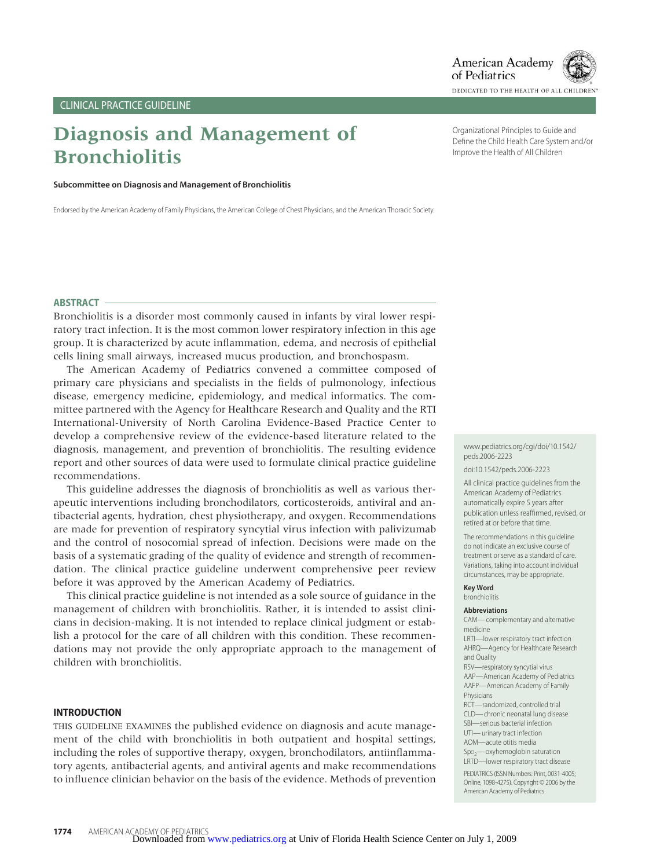#### CLINICAL PRACTICE GUIDELINE

# **Diagnosis and Management of Bronchiolitis**

**Subcommittee on Diagnosis and Management of Bronchiolitis**

Endorsed by the American Academy of Family Physicians, the American College of Chest Physicians, and the American Thoracic Society.

Organizational Principles to Guide and Define the Child Health Care System and/or Improve the Health of All Children

#### **ABSTRACT**

Bronchiolitis is a disorder most commonly caused in infants by viral lower respiratory tract infection. It is the most common lower respiratory infection in this age group. It is characterized by acute inflammation, edema, and necrosis of epithelial cells lining small airways, increased mucus production, and bronchospasm.

The American Academy of Pediatrics convened a committee composed of primary care physicians and specialists in the fields of pulmonology, infectious disease, emergency medicine, epidemiology, and medical informatics. The committee partnered with the Agency for Healthcare Research and Quality and the RTI International-University of North Carolina Evidence-Based Practice Center to develop a comprehensive review of the evidence-based literature related to the diagnosis, management, and prevention of bronchiolitis. The resulting evidence report and other sources of data were used to formulate clinical practice guideline recommendations.

This guideline addresses the diagnosis of bronchiolitis as well as various therapeutic interventions including bronchodilators, corticosteroids, antiviral and antibacterial agents, hydration, chest physiotherapy, and oxygen. Recommendations are made for prevention of respiratory syncytial virus infection with palivizumab and the control of nosocomial spread of infection. Decisions were made on the basis of a systematic grading of the quality of evidence and strength of recommendation. The clinical practice guideline underwent comprehensive peer review before it was approved by the American Academy of Pediatrics.

This clinical practice guideline is not intended as a sole source of guidance in the management of children with bronchiolitis. Rather, it is intended to assist clinicians in decision-making. It is not intended to replace clinical judgment or establish a protocol for the care of all children with this condition. These recommendations may not provide the only appropriate approach to the management of children with bronchiolitis.

#### **INTRODUCTION**

THIS GUIDELINE EXAMINES the published evidence on diagnosis and acute management of the child with bronchiolitis in both outpatient and hospital settings, including the roles of supportive therapy, oxygen, bronchodilators, antiinflammatory agents, antibacterial agents, and antiviral agents and make recommendations to influence clinician behavior on the basis of the evidence. Methods of prevention

www.pediatrics.org/cgi/doi/10.1542/ peds.2006-2223

doi:10.1542/peds.2006-2223

All clinical practice guidelines from the American Academy of Pediatrics automatically expire 5 years after publication unless reaffirmed, revised, or retired at or before that time.

The recommendations in this guideline do not indicate an exclusive course of treatment or serve as a standard of care. Variations, taking into account individual circumstances, may be appropriate.

#### **Key Word** bronchiolitis

#### **Abbreviations**

CAM— complementary and alternative medicine LRTI—lower respiratory tract infection

AHRQ—Agency for Healthcare Research and Quality RSV—respiratory syncytial virus AAP—American Academy of Pediatrics AAFP—American Academy of Family Physicians RCT—randomized, controlled trial CLD— chronic neonatal lung disease SBI—serious bacterial infection UTI—urinary tract infection AOM—acute otitis media Spo<sub>2</sub>— oxyhemoglobin saturation LRTD—lower respiratory tract disease PEDIATRICS (ISSN Numbers: Print, 0031-4005; Online, 1098-4275). Copyright © 2006 by the

American Academy of Pediatrics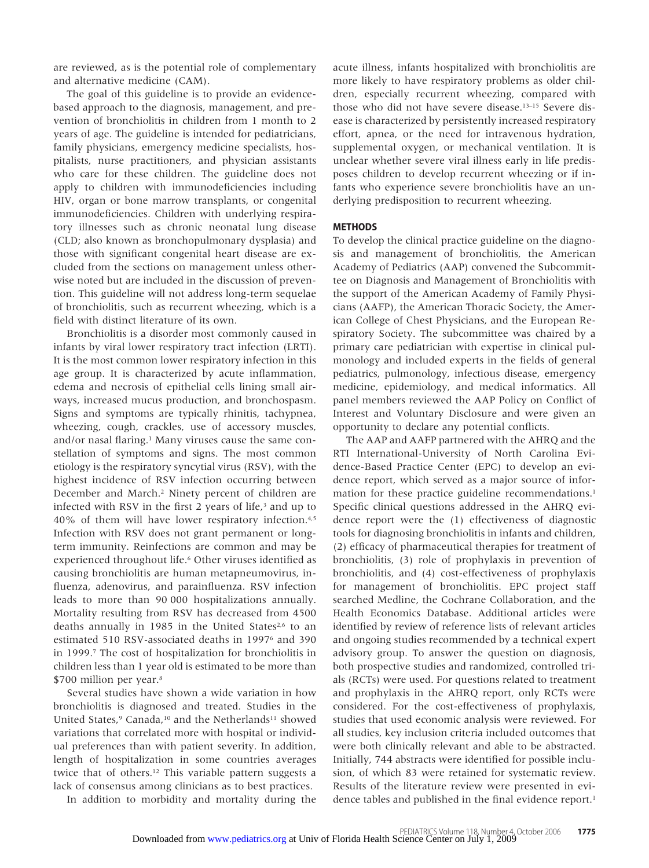are reviewed, as is the potential role of complementary and alternative medicine (CAM).

The goal of this guideline is to provide an evidencebased approach to the diagnosis, management, and prevention of bronchiolitis in children from 1 month to 2 years of age. The guideline is intended for pediatricians, family physicians, emergency medicine specialists, hospitalists, nurse practitioners, and physician assistants who care for these children. The guideline does not apply to children with immunodeficiencies including HIV, organ or bone marrow transplants, or congenital immunodeficiencies. Children with underlying respiratory illnesses such as chronic neonatal lung disease (CLD; also known as bronchopulmonary dysplasia) and those with significant congenital heart disease are excluded from the sections on management unless otherwise noted but are included in the discussion of prevention. This guideline will not address long-term sequelae of bronchiolitis, such as recurrent wheezing, which is a field with distinct literature of its own.

Bronchiolitis is a disorder most commonly caused in infants by viral lower respiratory tract infection (LRTI). It is the most common lower respiratory infection in this age group. It is characterized by acute inflammation, edema and necrosis of epithelial cells lining small airways, increased mucus production, and bronchospasm. Signs and symptoms are typically rhinitis, tachypnea, wheezing, cough, crackles, use of accessory muscles, and/or nasal flaring.<sup>1</sup> Many viruses cause the same constellation of symptoms and signs. The most common etiology is the respiratory syncytial virus (RSV), with the highest incidence of RSV infection occurring between December and March.2 Ninety percent of children are infected with RSV in the first 2 years of life, $3$  and up to 40% of them will have lower respiratory infection.4,5 Infection with RSV does not grant permanent or longterm immunity. Reinfections are common and may be experienced throughout life.<sup>6</sup> Other viruses identified as causing bronchiolitis are human metapneumovirus, influenza, adenovirus, and parainfluenza. RSV infection leads to more than 90 000 hospitalizations annually. Mortality resulting from RSV has decreased from 4500 deaths annually in 1985 in the United States<sup>2,6</sup> to an estimated 510 RSV-associated deaths in 19976 and 390 in 1999.7 The cost of hospitalization for bronchiolitis in children less than 1 year old is estimated to be more than \$700 million per year.8

Several studies have shown a wide variation in how bronchiolitis is diagnosed and treated. Studies in the United States,<sup>9</sup> Canada,<sup>10</sup> and the Netherlands<sup>11</sup> showed variations that correlated more with hospital or individual preferences than with patient severity. In addition, length of hospitalization in some countries averages twice that of others.12 This variable pattern suggests a lack of consensus among clinicians as to best practices.

In addition to morbidity and mortality during the

acute illness, infants hospitalized with bronchiolitis are more likely to have respiratory problems as older children, especially recurrent wheezing, compared with those who did not have severe disease.13–15 Severe disease is characterized by persistently increased respiratory effort, apnea, or the need for intravenous hydration, supplemental oxygen, or mechanical ventilation. It is unclear whether severe viral illness early in life predisposes children to develop recurrent wheezing or if infants who experience severe bronchiolitis have an underlying predisposition to recurrent wheezing.

# **METHODS**

To develop the clinical practice guideline on the diagnosis and management of bronchiolitis, the American Academy of Pediatrics (AAP) convened the Subcommittee on Diagnosis and Management of Bronchiolitis with the support of the American Academy of Family Physicians (AAFP), the American Thoracic Society, the American College of Chest Physicians, and the European Respiratory Society. The subcommittee was chaired by a primary care pediatrician with expertise in clinical pulmonology and included experts in the fields of general pediatrics, pulmonology, infectious disease, emergency medicine, epidemiology, and medical informatics. All panel members reviewed the AAP Policy on Conflict of Interest and Voluntary Disclosure and were given an opportunity to declare any potential conflicts.

The AAP and AAFP partnered with the AHRQ and the RTI International-University of North Carolina Evidence-Based Practice Center (EPC) to develop an evidence report, which served as a major source of information for these practice guideline recommendations.<sup>1</sup> Specific clinical questions addressed in the AHRQ evidence report were the (1) effectiveness of diagnostic tools for diagnosing bronchiolitis in infants and children, (2) efficacy of pharmaceutical therapies for treatment of bronchiolitis, (3) role of prophylaxis in prevention of bronchiolitis, and (4) cost-effectiveness of prophylaxis for management of bronchiolitis. EPC project staff searched Medline, the Cochrane Collaboration, and the Health Economics Database. Additional articles were identified by review of reference lists of relevant articles and ongoing studies recommended by a technical expert advisory group. To answer the question on diagnosis, both prospective studies and randomized, controlled trials (RCTs) were used. For questions related to treatment and prophylaxis in the AHRQ report, only RCTs were considered. For the cost-effectiveness of prophylaxis, studies that used economic analysis were reviewed. For all studies, key inclusion criteria included outcomes that were both clinically relevant and able to be abstracted. Initially, 744 abstracts were identified for possible inclusion, of which 83 were retained for systematic review. Results of the literature review were presented in evidence tables and published in the final evidence report.<sup>1</sup>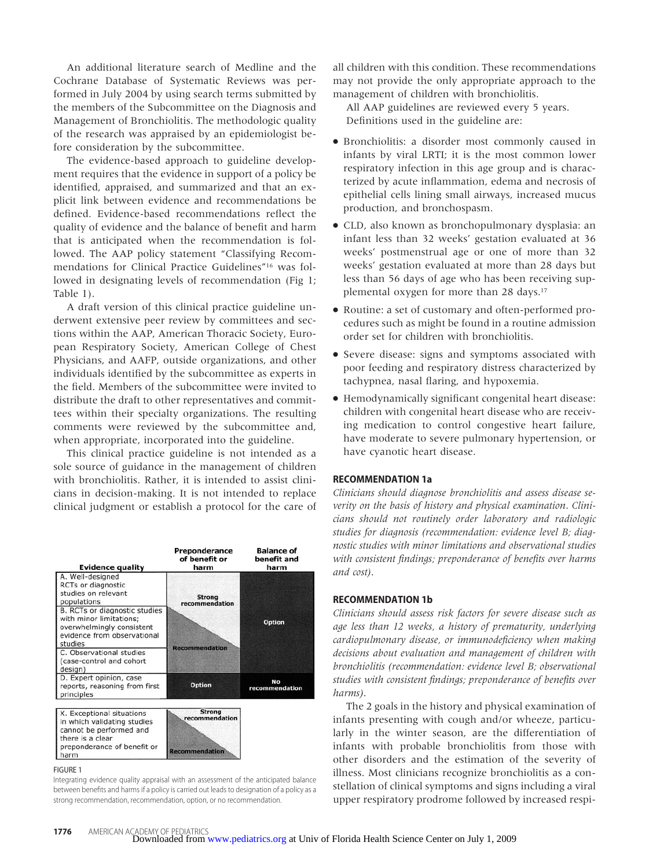An additional literature search of Medline and the Cochrane Database of Systematic Reviews was performed in July 2004 by using search terms submitted by the members of the Subcommittee on the Diagnosis and Management of Bronchiolitis. The methodologic quality of the research was appraised by an epidemiologist before consideration by the subcommittee.

The evidence-based approach to guideline development requires that the evidence in support of a policy be identified, appraised, and summarized and that an explicit link between evidence and recommendations be defined. Evidence-based recommendations reflect the quality of evidence and the balance of benefit and harm that is anticipated when the recommendation is followed. The AAP policy statement "Classifying Recommendations for Clinical Practice Guidelines"16 was followed in designating levels of recommendation (Fig 1; Table 1).

A draft version of this clinical practice guideline underwent extensive peer review by committees and sections within the AAP, American Thoracic Society, European Respiratory Society, American College of Chest Physicians, and AAFP, outside organizations, and other individuals identified by the subcommittee as experts in the field. Members of the subcommittee were invited to distribute the draft to other representatives and committees within their specialty organizations. The resulting comments were reviewed by the subcommittee and, when appropriate, incorporated into the guideline.

This clinical practice guideline is not intended as a sole source of guidance in the management of children with bronchiolitis. Rather, it is intended to assist clinicians in decision-making. It is not intended to replace clinical judgment or establish a protocol for the care of



#### FIGURE 1

Integrating evidence quality appraisal with an assessment of the anticipated balance between benefits and harms if a policy is carried out leads to designation of a policy as a strong recommendation, recommendation, option, or no recommendation.

all children with this condition. These recommendations may not provide the only appropriate approach to the management of children with bronchiolitis.

All AAP guidelines are reviewed every 5 years. Definitions used in the guideline are:

- Bronchiolitis: a disorder most commonly caused in infants by viral LRTI; it is the most common lower respiratory infection in this age group and is characterized by acute inflammation, edema and necrosis of epithelial cells lining small airways, increased mucus production, and bronchospasm.
- CLD, also known as bronchopulmonary dysplasia: an infant less than 32 weeks' gestation evaluated at 36 weeks' postmenstrual age or one of more than 32 weeks' gestation evaluated at more than 28 days but less than 56 days of age who has been receiving supplemental oxygen for more than 28 days.17
- Routine: a set of customary and often-performed procedures such as might be found in a routine admission order set for children with bronchiolitis.
- Severe disease: signs and symptoms associated with poor feeding and respiratory distress characterized by tachypnea, nasal flaring, and hypoxemia.
- Hemodynamically significant congenital heart disease: children with congenital heart disease who are receiving medication to control congestive heart failure, have moderate to severe pulmonary hypertension, or have cyanotic heart disease.

#### **RECOMMENDATION 1a**

*Clinicians should diagnose bronchiolitis and assess disease severity on the basis of history and physical examination*. *Clinicians should not routinely order laboratory and radiologic studies for diagnosis (recommendation: evidence level B; diagnostic studies with minor limitations and observational studies with consistent findings; preponderance of benefits over harms and cost)*.

#### **RECOMMENDATION 1b**

*Clinicians should assess risk factors for severe disease such as age less than 12 weeks, a history of prematurity, underlying cardiopulmonary disease, or immunodeficiency when making decisions about evaluation and management of children with bronchiolitis (recommendation: evidence level B; observational studies with consistent findings; preponderance of benefits over harms)*.

The 2 goals in the history and physical examination of infants presenting with cough and/or wheeze, particularly in the winter season, are the differentiation of infants with probable bronchiolitis from those with other disorders and the estimation of the severity of illness. Most clinicians recognize bronchiolitis as a constellation of clinical symptoms and signs including a viral upper respiratory prodrome followed by increased respi-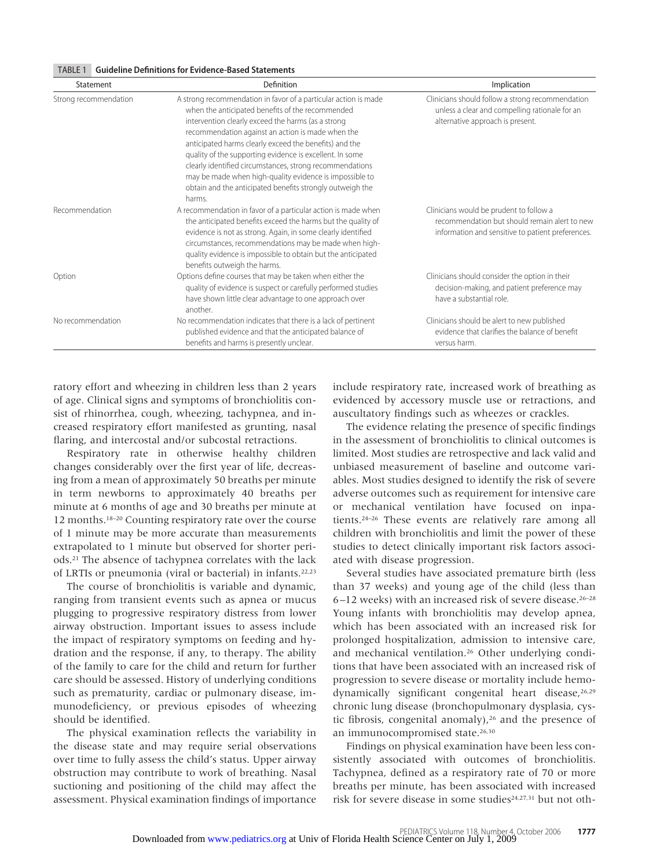#### TABLE 1 **Guideline Definitions for Evidence-Based Statements**

| Statement             | Definition                                                                                                                                                                                                                                                                                                                                                                                                                                                                                                                                         | Implication                                                                                                                                   |
|-----------------------|----------------------------------------------------------------------------------------------------------------------------------------------------------------------------------------------------------------------------------------------------------------------------------------------------------------------------------------------------------------------------------------------------------------------------------------------------------------------------------------------------------------------------------------------------|-----------------------------------------------------------------------------------------------------------------------------------------------|
| Strong recommendation | A strong recommendation in favor of a particular action is made<br>when the anticipated benefits of the recommended<br>intervention clearly exceed the harms (as a strong<br>recommendation against an action is made when the<br>anticipated harms clearly exceed the benefits) and the<br>quality of the supporting evidence is excellent. In some<br>clearly identified circumstances, strong recommendations<br>may be made when high-quality evidence is impossible to<br>obtain and the anticipated benefits strongly outweigh the<br>harms. | Clinicians should follow a strong recommendation<br>unless a clear and compelling rationale for an<br>alternative approach is present.        |
| Recommendation        | A recommendation in favor of a particular action is made when<br>the anticipated benefits exceed the harms but the quality of<br>evidence is not as strong. Again, in some clearly identified<br>circumstances, recommendations may be made when high-<br>quality evidence is impossible to obtain but the anticipated<br>benefits outweigh the harms.                                                                                                                                                                                             | Clinicians would be prudent to follow a<br>recommendation but should remain alert to new<br>information and sensitive to patient preferences. |
| Option                | Options define courses that may be taken when either the<br>quality of evidence is suspect or carefully performed studies<br>have shown little clear advantage to one approach over<br>another.                                                                                                                                                                                                                                                                                                                                                    | Clinicians should consider the option in their<br>decision-making, and patient preference may<br>have a substantial role.                     |
| No recommendation     | No recommendation indicates that there is a lack of pertinent<br>published evidence and that the anticipated balance of<br>benefits and harms is presently unclear.                                                                                                                                                                                                                                                                                                                                                                                | Clinicians should be alert to new published<br>evidence that clarifies the balance of benefit<br>versus harm.                                 |

ratory effort and wheezing in children less than 2 years of age. Clinical signs and symptoms of bronchiolitis consist of rhinorrhea, cough, wheezing, tachypnea, and increased respiratory effort manifested as grunting, nasal flaring, and intercostal and/or subcostal retractions.

Respiratory rate in otherwise healthy children changes considerably over the first year of life, decreasing from a mean of approximately 50 breaths per minute in term newborns to approximately 40 breaths per minute at 6 months of age and 30 breaths per minute at 12 months.18–20 Counting respiratory rate over the course of 1 minute may be more accurate than measurements extrapolated to 1 minute but observed for shorter periods.21 The absence of tachypnea correlates with the lack of LRTIs or pneumonia (viral or bacterial) in infants.22,23

The course of bronchiolitis is variable and dynamic, ranging from transient events such as apnea or mucus plugging to progressive respiratory distress from lower airway obstruction. Important issues to assess include the impact of respiratory symptoms on feeding and hydration and the response, if any, to therapy. The ability of the family to care for the child and return for further care should be assessed. History of underlying conditions such as prematurity, cardiac or pulmonary disease, immunodeficiency, or previous episodes of wheezing should be identified.

The physical examination reflects the variability in the disease state and may require serial observations over time to fully assess the child's status. Upper airway obstruction may contribute to work of breathing. Nasal suctioning and positioning of the child may affect the assessment. Physical examination findings of importance

include respiratory rate, increased work of breathing as evidenced by accessory muscle use or retractions, and auscultatory findings such as wheezes or crackles.

The evidence relating the presence of specific findings in the assessment of bronchiolitis to clinical outcomes is limited. Most studies are retrospective and lack valid and unbiased measurement of baseline and outcome variables. Most studies designed to identify the risk of severe adverse outcomes such as requirement for intensive care or mechanical ventilation have focused on inpatients.24–26 These events are relatively rare among all children with bronchiolitis and limit the power of these studies to detect clinically important risk factors associated with disease progression.

Several studies have associated premature birth (less than 37 weeks) and young age of the child (less than 6 –12 weeks) with an increased risk of severe disease.26–28 Young infants with bronchiolitis may develop apnea, which has been associated with an increased risk for prolonged hospitalization, admission to intensive care, and mechanical ventilation.26 Other underlying conditions that have been associated with an increased risk of progression to severe disease or mortality include hemodynamically significant congenital heart disease, 26,29 chronic lung disease (bronchopulmonary dysplasia, cystic fibrosis, congenital anomaly), $26$  and the presence of an immunocompromised state.26,30

Findings on physical examination have been less consistently associated with outcomes of bronchiolitis. Tachypnea, defined as a respiratory rate of 70 or more breaths per minute, has been associated with increased risk for severe disease in some studies<sup>24,27,31</sup> but not oth-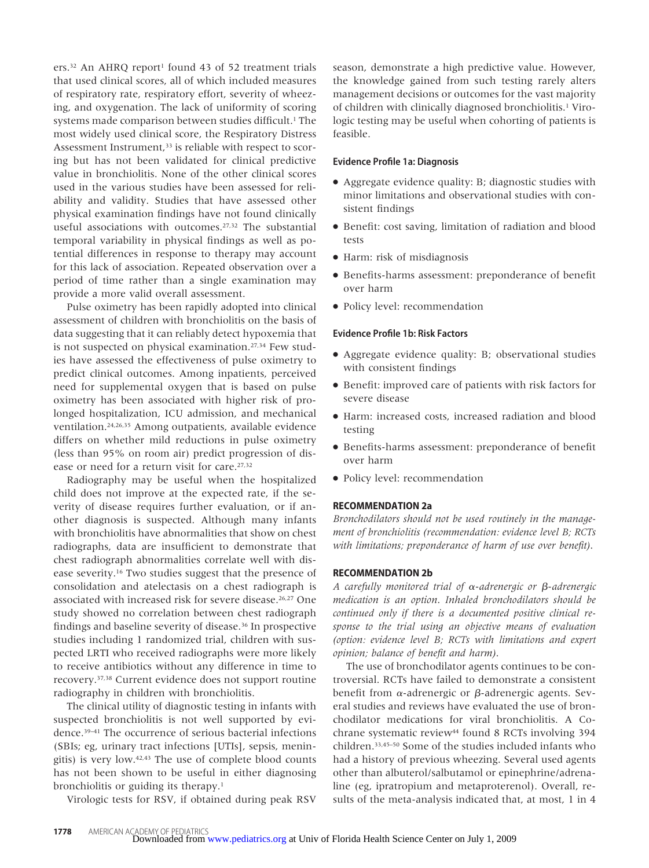ers.<sup>32</sup> An AHRQ report<sup>1</sup> found 43 of 52 treatment trials that used clinical scores, all of which included measures of respiratory rate, respiratory effort, severity of wheezing, and oxygenation. The lack of uniformity of scoring systems made comparison between studies difficult.<sup>1</sup> The most widely used clinical score, the Respiratory Distress Assessment Instrument,<sup>33</sup> is reliable with respect to scoring but has not been validated for clinical predictive value in bronchiolitis. None of the other clinical scores used in the various studies have been assessed for reliability and validity. Studies that have assessed other physical examination findings have not found clinically useful associations with outcomes.27,32 The substantial temporal variability in physical findings as well as potential differences in response to therapy may account for this lack of association. Repeated observation over a period of time rather than a single examination may provide a more valid overall assessment.

Pulse oximetry has been rapidly adopted into clinical assessment of children with bronchiolitis on the basis of data suggesting that it can reliably detect hypoxemia that is not suspected on physical examination.<sup>27,34</sup> Few studies have assessed the effectiveness of pulse oximetry to predict clinical outcomes. Among inpatients, perceived need for supplemental oxygen that is based on pulse oximetry has been associated with higher risk of prolonged hospitalization, ICU admission, and mechanical ventilation.24,26,35 Among outpatients, available evidence differs on whether mild reductions in pulse oximetry (less than 95% on room air) predict progression of disease or need for a return visit for care.<sup>27,32</sup>

Radiography may be useful when the hospitalized child does not improve at the expected rate, if the severity of disease requires further evaluation, or if another diagnosis is suspected. Although many infants with bronchiolitis have abnormalities that show on chest radiographs, data are insufficient to demonstrate that chest radiograph abnormalities correlate well with disease severity.16 Two studies suggest that the presence of consolidation and atelectasis on a chest radiograph is associated with increased risk for severe disease.26,27 One study showed no correlation between chest radiograph findings and baseline severity of disease.36 In prospective studies including 1 randomized trial, children with suspected LRTI who received radiographs were more likely to receive antibiotics without any difference in time to recovery.37,38 Current evidence does not support routine radiography in children with bronchiolitis.

The clinical utility of diagnostic testing in infants with suspected bronchiolitis is not well supported by evidence.39–41 The occurrence of serious bacterial infections (SBIs; eg, urinary tract infections [UTIs], sepsis, meningitis) is very low.42,43 The use of complete blood counts has not been shown to be useful in either diagnosing bronchiolitis or guiding its therapy.<sup>1</sup>

Virologic tests for RSV, if obtained during peak RSV

season, demonstrate a high predictive value. However, the knowledge gained from such testing rarely alters management decisions or outcomes for the vast majority of children with clinically diagnosed bronchiolitis.<sup>1</sup> Virologic testing may be useful when cohorting of patients is feasible.

# **Evidence Profile 1a: Diagnosis**

- Aggregate evidence quality: B; diagnostic studies with minor limitations and observational studies with consistent findings
- Benefit: cost saving, limitation of radiation and blood tests
- Harm: risk of misdiagnosis
- Benefits-harms assessment: preponderance of benefit over harm
- Policy level: recommendation

# **Evidence Profile 1b: Risk Factors**

- Aggregate evidence quality: B; observational studies with consistent findings
- Benefit: improved care of patients with risk factors for severe disease
- Harm: increased costs, increased radiation and blood testing
- Benefits-harms assessment: preponderance of benefit over harm
- Policy level: recommendation

# **RECOMMENDATION 2a**

*Bronchodilators should not be used routinely in the management of bronchiolitis (recommendation: evidence level B; RCTs with limitations; preponderance of harm of use over benefit)*.

# **RECOMMENDATION 2b**

A carefully monitored trial of α-adrenergic or β-adrenergic *medication is an option*. *Inhaled bronchodilators should be continued only if there is a documented positive clinical response to the trial using an objective means of evaluation (option: evidence level B; RCTs with limitations and expert opinion; balance of benefit and harm)*.

The use of bronchodilator agents continues to be controversial. RCTs have failed to demonstrate a consistent benefit from  $\alpha$ -adrenergic or  $\beta$ -adrenergic agents. Several studies and reviews have evaluated the use of bronchodilator medications for viral bronchiolitis. A Cochrane systematic review<sup>44</sup> found 8 RCTs involving 394 children.33,45–50 Some of the studies included infants who had a history of previous wheezing. Several used agents other than albuterol/salbutamol or epinephrine/adrenaline (eg, ipratropium and metaproterenol). Overall, results of the meta-analysis indicated that, at most, 1 in 4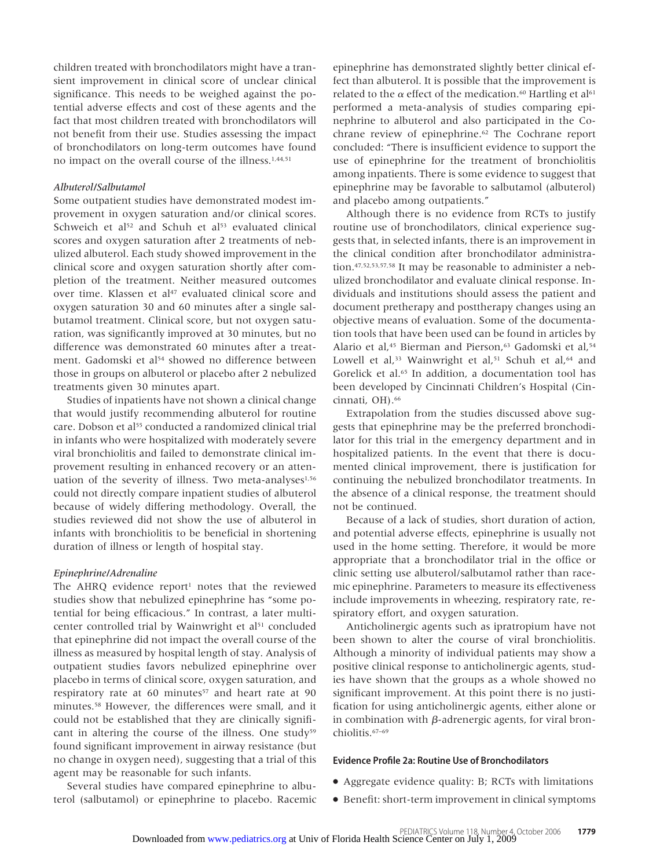children treated with bronchodilators might have a transient improvement in clinical score of unclear clinical significance. This needs to be weighed against the potential adverse effects and cost of these agents and the fact that most children treated with bronchodilators will not benefit from their use. Studies assessing the impact of bronchodilators on long-term outcomes have found no impact on the overall course of the illness.1,44,51

#### *Albuterol/Salbutamol*

Some outpatient studies have demonstrated modest improvement in oxygen saturation and/or clinical scores. Schweich et al<sup>52</sup> and Schuh et al<sup>53</sup> evaluated clinical scores and oxygen saturation after 2 treatments of nebulized albuterol. Each study showed improvement in the clinical score and oxygen saturation shortly after completion of the treatment. Neither measured outcomes over time. Klassen et al<sup>47</sup> evaluated clinical score and oxygen saturation 30 and 60 minutes after a single salbutamol treatment. Clinical score, but not oxygen saturation, was significantly improved at 30 minutes, but no difference was demonstrated 60 minutes after a treatment. Gadomski et al<sup>54</sup> showed no difference between those in groups on albuterol or placebo after 2 nebulized treatments given 30 minutes apart.

Studies of inpatients have not shown a clinical change that would justify recommending albuterol for routine care. Dobson et al<sup>55</sup> conducted a randomized clinical trial in infants who were hospitalized with moderately severe viral bronchiolitis and failed to demonstrate clinical improvement resulting in enhanced recovery or an attenuation of the severity of illness. Two meta-analyses<sup>1,56</sup> could not directly compare inpatient studies of albuterol because of widely differing methodology. Overall, the studies reviewed did not show the use of albuterol in infants with bronchiolitis to be beneficial in shortening duration of illness or length of hospital stay.

# *Epinephrine/Adrenaline*

The AHRQ evidence report<sup>1</sup> notes that the reviewed studies show that nebulized epinephrine has "some potential for being efficacious." In contrast, a later multicenter controlled trial by Wainwright et al<sup>51</sup> concluded that epinephrine did not impact the overall course of the illness as measured by hospital length of stay. Analysis of outpatient studies favors nebulized epinephrine over placebo in terms of clinical score, oxygen saturation, and respiratory rate at 60 minutes<sup>57</sup> and heart rate at 90 minutes.58 However, the differences were small, and it could not be established that they are clinically significant in altering the course of the illness. One study<sup>59</sup> found significant improvement in airway resistance (but no change in oxygen need), suggesting that a trial of this agent may be reasonable for such infants.

Several studies have compared epinephrine to albuterol (salbutamol) or epinephrine to placebo. Racemic epinephrine has demonstrated slightly better clinical effect than albuterol. It is possible that the improvement is related to the  $\alpha$  effect of the medication.<sup>60</sup> Hartling et al<sup>61</sup> performed a meta-analysis of studies comparing epinephrine to albuterol and also participated in the Cochrane review of epinephrine.<sup>62</sup> The Cochrane report concluded: "There is insufficient evidence to support the use of epinephrine for the treatment of bronchiolitis among inpatients. There is some evidence to suggest that epinephrine may be favorable to salbutamol (albuterol) and placebo among outpatients."

Although there is no evidence from RCTs to justify routine use of bronchodilators, clinical experience suggests that, in selected infants, there is an improvement in the clinical condition after bronchodilator administration.47,52,53,57,58 It may be reasonable to administer a nebulized bronchodilator and evaluate clinical response. Individuals and institutions should assess the patient and document pretherapy and posttherapy changes using an objective means of evaluation. Some of the documentation tools that have been used can be found in articles by Alario et al,<sup>45</sup> Bierman and Pierson,<sup>63</sup> Gadomski et al,<sup>54</sup> Lowell et al,<sup>33</sup> Wainwright et al,<sup>51</sup> Schuh et al,<sup>64</sup> and Gorelick et al.<sup>65</sup> In addition, a documentation tool has been developed by Cincinnati Children's Hospital (Cincinnati, OH).<sup>66</sup>

Extrapolation from the studies discussed above suggests that epinephrine may be the preferred bronchodilator for this trial in the emergency department and in hospitalized patients. In the event that there is documented clinical improvement, there is justification for continuing the nebulized bronchodilator treatments. In the absence of a clinical response, the treatment should not be continued.

Because of a lack of studies, short duration of action, and potential adverse effects, epinephrine is usually not used in the home setting. Therefore, it would be more appropriate that a bronchodilator trial in the office or clinic setting use albuterol/salbutamol rather than racemic epinephrine. Parameters to measure its effectiveness include improvements in wheezing, respiratory rate, respiratory effort, and oxygen saturation.

Anticholinergic agents such as ipratropium have not been shown to alter the course of viral bronchiolitis. Although a minority of individual patients may show a positive clinical response to anticholinergic agents, studies have shown that the groups as a whole showed no significant improvement. At this point there is no justification for using anticholinergic agents, either alone or in combination with  $\beta$ -adrenergic agents, for viral bronchiolitis.67–69

#### **Evidence Profile 2a: Routine Use of Bronchodilators**

- Aggregate evidence quality: B; RCTs with limitations
- Benefit: short-term improvement in clinical symptoms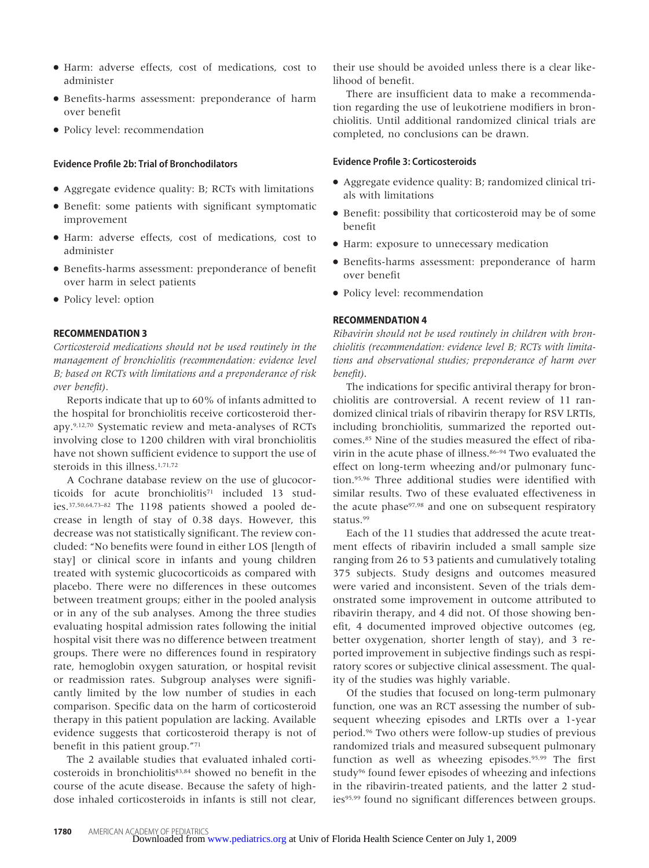- Harm: adverse effects, cost of medications, cost to administer
- Benefits-harms assessment: preponderance of harm over benefit
- Policy level: recommendation

# **Evidence Profile 2b: Trial of Bronchodilators**

- Aggregate evidence quality: B; RCTs with limitations
- Benefit: some patients with significant symptomatic improvement
- Harm: adverse effects, cost of medications, cost to administer
- Benefits-harms assessment: preponderance of benefit over harm in select patients
- Policy level: option

# **RECOMMENDATION 3**

*Corticosteroid medications should not be used routinely in the management of bronchiolitis (recommendation: evidence level B; based on RCTs with limitations and a preponderance of risk over benefit)*.

Reports indicate that up to 60% of infants admitted to the hospital for bronchiolitis receive corticosteroid therapy.9,12,70 Systematic review and meta-analyses of RCTs involving close to 1200 children with viral bronchiolitis have not shown sufficient evidence to support the use of steroids in this illness.1,71,72

A Cochrane database review on the use of glucocorticoids for acute bronchiolitis<sup>71</sup> included 13 studies.37,50,64,73–82 The 1198 patients showed a pooled decrease in length of stay of 0.38 days. However, this decrease was not statistically significant. The review concluded: "No benefits were found in either LOS [length of stay] or clinical score in infants and young children treated with systemic glucocorticoids as compared with placebo. There were no differences in these outcomes between treatment groups; either in the pooled analysis or in any of the sub analyses. Among the three studies evaluating hospital admission rates following the initial hospital visit there was no difference between treatment groups. There were no differences found in respiratory rate, hemoglobin oxygen saturation, or hospital revisit or readmission rates. Subgroup analyses were significantly limited by the low number of studies in each comparison. Specific data on the harm of corticosteroid therapy in this patient population are lacking. Available evidence suggests that corticosteroid therapy is not of benefit in this patient group."71

The 2 available studies that evaluated inhaled corticosteroids in bronchiolitis83,84 showed no benefit in the course of the acute disease. Because the safety of highdose inhaled corticosteroids in infants is still not clear,

their use should be avoided unless there is a clear likelihood of benefit.

There are insufficient data to make a recommendation regarding the use of leukotriene modifiers in bronchiolitis. Until additional randomized clinical trials are completed, no conclusions can be drawn.

# **Evidence Profile 3: Corticosteroids**

- Aggregate evidence quality: B; randomized clinical trials with limitations
- Benefit: possibility that corticosteroid may be of some benefit
- Harm: exposure to unnecessary medication
- Benefits-harms assessment: preponderance of harm over benefit
- Policy level: recommendation

#### **RECOMMENDATION 4**

*Ribavirin should not be used routinely in children with bronchiolitis (recommendation: evidence level B; RCTs with limitations and observational studies; preponderance of harm over benefit)*.

The indications for specific antiviral therapy for bronchiolitis are controversial. A recent review of 11 randomized clinical trials of ribavirin therapy for RSV LRTIs, including bronchiolitis, summarized the reported outcomes.85 Nine of the studies measured the effect of ribavirin in the acute phase of illness.86–94 Two evaluated the effect on long-term wheezing and/or pulmonary function.95,96 Three additional studies were identified with similar results. Two of these evaluated effectiveness in the acute phase<sup>97,98</sup> and one on subsequent respiratory status.<sup>99</sup>

Each of the 11 studies that addressed the acute treatment effects of ribavirin included a small sample size ranging from 26 to 53 patients and cumulatively totaling 375 subjects. Study designs and outcomes measured were varied and inconsistent. Seven of the trials demonstrated some improvement in outcome attributed to ribavirin therapy, and 4 did not. Of those showing benefit, 4 documented improved objective outcomes (eg, better oxygenation, shorter length of stay), and 3 reported improvement in subjective findings such as respiratory scores or subjective clinical assessment. The quality of the studies was highly variable.

Of the studies that focused on long-term pulmonary function, one was an RCT assessing the number of subsequent wheezing episodes and LRTIs over a 1-year period.96 Two others were follow-up studies of previous randomized trials and measured subsequent pulmonary function as well as wheezing episodes.<sup>95,99</sup> The first study<sup>96</sup> found fewer episodes of wheezing and infections in the ribavirin-treated patients, and the latter 2 studies<sup>95,99</sup> found no significant differences between groups.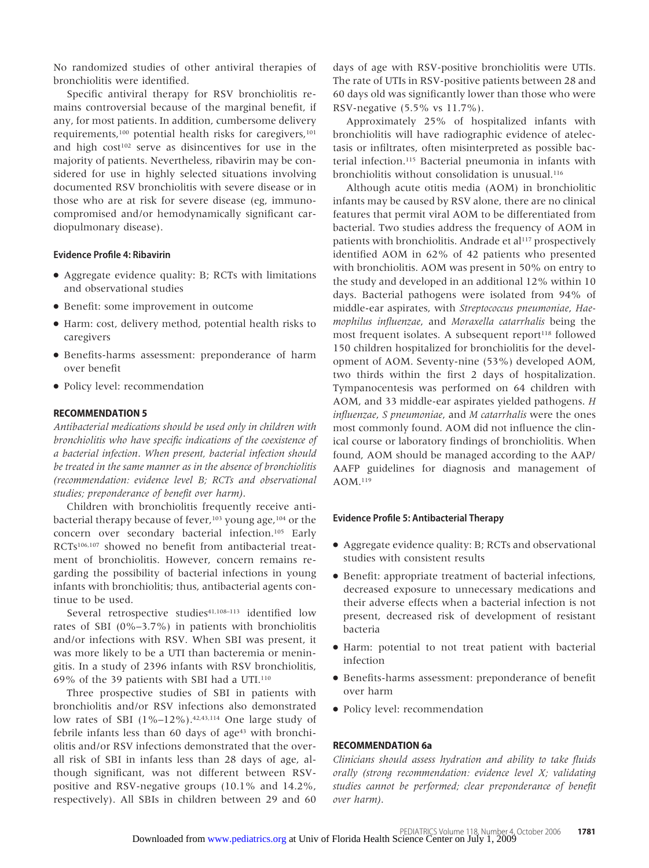No randomized studies of other antiviral therapies of bronchiolitis were identified.

Specific antiviral therapy for RSV bronchiolitis remains controversial because of the marginal benefit, if any, for most patients. In addition, cumbersome delivery requirements,<sup>100</sup> potential health risks for caregivers,<sup>101</sup> and high  $cost^{102}$  serve as disincentives for use in the majority of patients. Nevertheless, ribavirin may be considered for use in highly selected situations involving documented RSV bronchiolitis with severe disease or in those who are at risk for severe disease (eg, immunocompromised and/or hemodynamically significant cardiopulmonary disease).

# **Evidence Profile 4: Ribavirin**

- Aggregate evidence quality: B; RCTs with limitations and observational studies
- Benefit: some improvement in outcome
- Harm: cost, delivery method, potential health risks to caregivers
- Benefits-harms assessment: preponderance of harm over benefit
- Policy level: recommendation

#### **RECOMMENDATION 5**

*Antibacterial medications should be used only in children with bronchiolitis who have specific indications of the coexistence of a bacterial infection*. *When present, bacterial infection should be treated in the same manner as in the absence of bronchiolitis (recommendation: evidence level B; RCTs and observational studies; preponderance of benefit over harm)*.

Children with bronchiolitis frequently receive antibacterial therapy because of fever,<sup>103</sup> young age,<sup>104</sup> or the concern over secondary bacterial infection.105 Early RCTs106,107 showed no benefit from antibacterial treatment of bronchiolitis. However, concern remains regarding the possibility of bacterial infections in young infants with bronchiolitis; thus, antibacterial agents continue to be used.

Several retrospective studies<sup>41,108-113</sup> identified low rates of SBI (0%–3.7%) in patients with bronchiolitis and/or infections with RSV. When SBI was present, it was more likely to be a UTI than bacteremia or meningitis. In a study of 2396 infants with RSV bronchiolitis, 69% of the 39 patients with SBI had a UTI.110

Three prospective studies of SBI in patients with bronchiolitis and/or RSV infections also demonstrated low rates of SBI  $(1\% - 12\%)$ .<sup>42,43,114</sup> One large study of febrile infants less than 60 days of age<sup>43</sup> with bronchiolitis and/or RSV infections demonstrated that the overall risk of SBI in infants less than 28 days of age, although significant, was not different between RSVpositive and RSV-negative groups (10.1% and 14.2%, respectively). All SBIs in children between 29 and 60 days of age with RSV-positive bronchiolitis were UTIs. The rate of UTIs in RSV-positive patients between 28 and 60 days old was significantly lower than those who were RSV-negative (5.5% vs 11.7%).

Approximately 25% of hospitalized infants with bronchiolitis will have radiographic evidence of atelectasis or infiltrates, often misinterpreted as possible bacterial infection.115 Bacterial pneumonia in infants with bronchiolitis without consolidation is unusual.<sup>116</sup>

Although acute otitis media (AOM) in bronchiolitic infants may be caused by RSV alone, there are no clinical features that permit viral AOM to be differentiated from bacterial. Two studies address the frequency of AOM in patients with bronchiolitis. Andrade et al<sup>117</sup> prospectively identified AOM in 62% of 42 patients who presented with bronchiolitis. AOM was present in 50% on entry to the study and developed in an additional 12% within 10 days. Bacterial pathogens were isolated from 94% of middle-ear aspirates, with *Streptococcus pneumoniae*, *Haemophilus influenzae*, and *Moraxella catarrhalis* being the most frequent isolates. A subsequent report<sup>118</sup> followed 150 children hospitalized for bronchiolitis for the development of AOM. Seventy-nine (53%) developed AOM, two thirds within the first 2 days of hospitalization. Tympanocentesis was performed on 64 children with AOM, and 33 middle-ear aspirates yielded pathogens. *H influenzae*, *S pneumoniae*, and *M catarrhalis* were the ones most commonly found. AOM did not influence the clinical course or laboratory findings of bronchiolitis. When found, AOM should be managed according to the AAP/ AAFP guidelines for diagnosis and management of AOM.119

#### **Evidence Profile 5: Antibacterial Therapy**

- Aggregate evidence quality: B; RCTs and observational studies with consistent results
- Benefit: appropriate treatment of bacterial infections, decreased exposure to unnecessary medications and their adverse effects when a bacterial infection is not present, decreased risk of development of resistant bacteria
- Harm: potential to not treat patient with bacterial infection
- Benefits-harms assessment: preponderance of benefit over harm
- Policy level: recommendation

# **RECOMMENDATION 6a**

*Clinicians should assess hydration and ability to take fluids orally (strong recommendation: evidence level X; validating studies cannot be performed; clear preponderance of benefit over harm)*.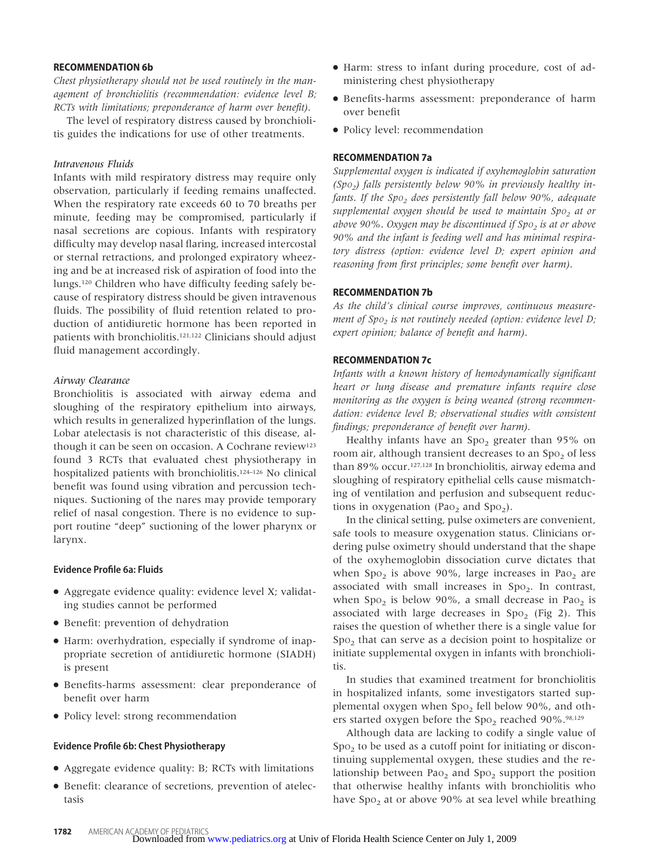#### **RECOMMENDATION 6b**

*Chest physiotherapy should not be used routinely in the management of bronchiolitis (recommendation: evidence level B; RCTs with limitations; preponderance of harm over benefit)*.

The level of respiratory distress caused by bronchiolitis guides the indications for use of other treatments.

# *Intravenous Fluids*

Infants with mild respiratory distress may require only observation, particularly if feeding remains unaffected. When the respiratory rate exceeds 60 to 70 breaths per minute, feeding may be compromised, particularly if nasal secretions are copious. Infants with respiratory difficulty may develop nasal flaring, increased intercostal or sternal retractions, and prolonged expiratory wheezing and be at increased risk of aspiration of food into the lungs.120 Children who have difficulty feeding safely because of respiratory distress should be given intravenous fluids. The possibility of fluid retention related to production of antidiuretic hormone has been reported in patients with bronchiolitis.121,122 Clinicians should adjust fluid management accordingly.

# *Airway Clearance*

Bronchiolitis is associated with airway edema and sloughing of the respiratory epithelium into airways, which results in generalized hyperinflation of the lungs. Lobar atelectasis is not characteristic of this disease, although it can be seen on occasion. A Cochrane review<sup>123</sup> found 3 RCTs that evaluated chest physiotherapy in hospitalized patients with bronchiolitis.124–126 No clinical benefit was found using vibration and percussion techniques. Suctioning of the nares may provide temporary relief of nasal congestion. There is no evidence to support routine "deep" suctioning of the lower pharynx or larynx.

# **Evidence Profile 6a: Fluids**

- Aggregate evidence quality: evidence level X; validating studies cannot be performed
- Benefit: prevention of dehydration
- Harm: overhydration, especially if syndrome of inappropriate secretion of antidiuretic hormone (SIADH) is present
- Benefits-harms assessment: clear preponderance of benefit over harm
- Policy level: strong recommendation

#### **Evidence Profile 6b: Chest Physiotherapy**

- Aggregate evidence quality: B; RCTs with limitations
- Benefit: clearance of secretions, prevention of atelectasis
- Harm: stress to infant during procedure, cost of administering chest physiotherapy
- Benefits-harms assessment: preponderance of harm over benefit
- Policy level: recommendation

#### **RECOMMENDATION 7a**

*Supplemental oxygen is indicated if oxyhemoglobin saturation* (Spo<sub>2</sub>) falls persistently below 90% in previously healthy in*fants*. *If the SpO2 does persistently fall below 90%, adequate supplemental oxygen should be used to maintain SpO2 at or above 90%. Oxygen may be discontinued if Spo<sub>2</sub> is at or above 90% and the infant is feeding well and has minimal respiratory distress (option: evidence level D; expert opinion and reasoning from first principles; some benefit over harm)*.

# **RECOMMENDATION 7b**

*As the child's clinical course improves, continuous measurement of Spo<sub>2</sub> is not routinely needed (option: evidence level D; expert opinion; balance of benefit and harm)*.

#### **RECOMMENDATION 7c**

*Infants with a known history of hemodynamically significant heart or lung disease and premature infants require close monitoring as the oxygen is being weaned (strong recommendation: evidence level B; observational studies with consistent findings; preponderance of benefit over harm)*.

Healthy infants have an  $Spo<sub>2</sub>$  greater than 95% on room air, although transient decreases to an Spo<sub>2</sub> of less than 89% occur.127,128 In bronchiolitis, airway edema and sloughing of respiratory epithelial cells cause mismatching of ventilation and perfusion and subsequent reductions in oxygenation (Pao<sub>2</sub> and Spo<sub>2</sub>).

In the clinical setting, pulse oximeters are convenient, safe tools to measure oxygenation status. Clinicians ordering pulse oximetry should understand that the shape of the oxyhemoglobin dissociation curve dictates that when  $Spo<sub>2</sub>$  is above 90%, large increases in Pa $o<sub>2</sub>$  are associated with small increases in  $Spo<sub>2</sub>$ . In contrast, when  $Spo<sub>2</sub>$  is below 90%, a small decrease in Pa $o<sub>2</sub>$  is associated with large decreases in  $Spo<sub>2</sub>$  (Fig 2). This raises the question of whether there is a single value for  $Spo<sub>2</sub>$  that can serve as a decision point to hospitalize or initiate supplemental oxygen in infants with bronchiolitis.

In studies that examined treatment for bronchiolitis in hospitalized infants, some investigators started supplemental oxygen when Spo<sub>2</sub> fell below 90%, and others started oxygen before the Spo<sub>2</sub> reached 90%.<sup>98,129</sup>

Although data are lacking to codify a single value of  $Spo<sub>2</sub>$  to be used as a cutoff point for initiating or discontinuing supplemental oxygen, these studies and the relationship between Pa $o<sub>2</sub>$  and Sp $o<sub>2</sub>$  support the position that otherwise healthy infants with bronchiolitis who have  $Spo<sub>2</sub>$  at or above 90% at sea level while breathing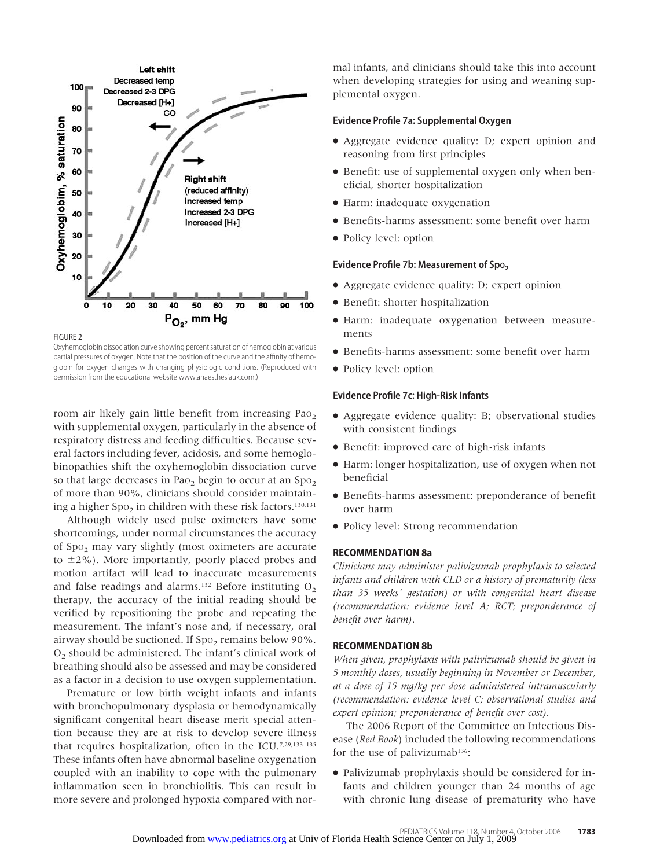

FIGURE 2

Oxyhemoglobin dissociation curve showing percent saturation of hemoglobin at various partial pressures of oxygen. Note that the position of the curve and the affinity of hemoglobin for oxygen changes with changing physiologic conditions. (Reproduced with permission from the educational website www.anaesthesiauk.com.)

room air likely gain little benefit from increasing Pao<sub>2</sub> with supplemental oxygen, particularly in the absence of respiratory distress and feeding difficulties. Because several factors including fever, acidosis, and some hemoglobinopathies shift the oxyhemoglobin dissociation curve so that large decreases in Pa $o<sub>2</sub>$  begin to occur at an Sp $o<sub>2</sub>$ of more than 90%, clinicians should consider maintaining a higher  $Spo<sub>2</sub>$  in children with these risk factors.<sup>130,131</sup>

Although widely used pulse oximeters have some shortcomings, under normal circumstances the accuracy of SpO2 may vary slightly (most oximeters are accurate to  $\pm 2\%$ ). More importantly, poorly placed probes and motion artifact will lead to inaccurate measurements and false readings and alarms.<sup>132</sup> Before instituting  $O<sub>2</sub>$ therapy, the accuracy of the initial reading should be verified by repositioning the probe and repeating the measurement. The infant's nose and, if necessary, oral airway should be suctioned. If  $Spo<sub>2</sub>$  remains below 90%, O<sub>2</sub> should be administered. The infant's clinical work of breathing should also be assessed and may be considered as a factor in a decision to use oxygen supplementation.

Premature or low birth weight infants and infants with bronchopulmonary dysplasia or hemodynamically significant congenital heart disease merit special attention because they are at risk to develop severe illness that requires hospitalization, often in the ICU.7,29,133–135 These infants often have abnormal baseline oxygenation coupled with an inability to cope with the pulmonary inflammation seen in bronchiolitis. This can result in more severe and prolonged hypoxia compared with normal infants, and clinicians should take this into account when developing strategies for using and weaning supplemental oxygen.

#### **Evidence Profile 7a: Supplemental Oxygen**

- Aggregate evidence quality: D; expert opinion and reasoning from first principles
- Benefit: use of supplemental oxygen only when beneficial, shorter hospitalization
- Harm: inadequate oxygenation
- Benefits-harms assessment: some benefit over harm
- Policy level: option

#### Evidence Profile 7b: Measurement of Spo<sub>2</sub>

- Aggregate evidence quality: D; expert opinion
- Benefit: shorter hospitalization
- Harm: inadequate oxygenation between measurements
- Benefits-harms assessment: some benefit over harm
- Policy level: option

#### **Evidence Profile 7c: High-Risk Infants**

- Aggregate evidence quality: B; observational studies with consistent findings
- Benefit: improved care of high-risk infants
- Harm: longer hospitalization, use of oxygen when not beneficial
- Benefits-harms assessment: preponderance of benefit over harm
- Policy level: Strong recommendation

#### **RECOMMENDATION 8a**

*Clinicians may administer palivizumab prophylaxis to selected infants and children with CLD or a history of prematurity (less than 35 weeks' gestation) or with congenital heart disease (recommendation: evidence level A; RCT; preponderance of benefit over harm)*.

#### **RECOMMENDATION 8b**

*When given, prophylaxis with palivizumab should be given in 5 monthly doses, usually beginning in November or December, at a dose of 15 mg/kg per dose administered intramuscularly (recommendation: evidence level C; observational studies and expert opinion; preponderance of benefit over cost)*.

The 2006 Report of the Committee on Infectious Disease (*Red Book*) included the following recommendations for the use of palivizumab<sup>136</sup>:

● Palivizumab prophylaxis should be considered for infants and children younger than 24 months of age with chronic lung disease of prematurity who have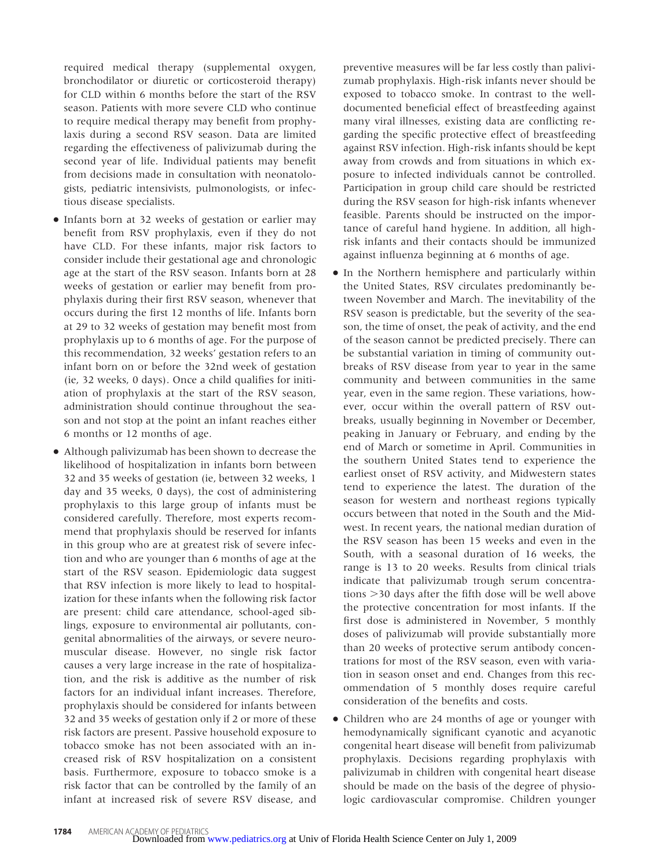required medical therapy (supplemental oxygen, bronchodilator or diuretic or corticosteroid therapy) for CLD within 6 months before the start of the RSV season. Patients with more severe CLD who continue to require medical therapy may benefit from prophylaxis during a second RSV season. Data are limited regarding the effectiveness of palivizumab during the second year of life. Individual patients may benefit from decisions made in consultation with neonatologists, pediatric intensivists, pulmonologists, or infectious disease specialists.

- Infants born at 32 weeks of gestation or earlier may benefit from RSV prophylaxis, even if they do not have CLD. For these infants, major risk factors to consider include their gestational age and chronologic age at the start of the RSV season. Infants born at 28 weeks of gestation or earlier may benefit from prophylaxis during their first RSV season, whenever that occurs during the first 12 months of life. Infants born at 29 to 32 weeks of gestation may benefit most from prophylaxis up to 6 months of age. For the purpose of this recommendation, 32 weeks' gestation refers to an infant born on or before the 32nd week of gestation (ie, 32 weeks, 0 days). Once a child qualifies for initiation of prophylaxis at the start of the RSV season, administration should continue throughout the season and not stop at the point an infant reaches either 6 months or 12 months of age.
- Although palivizumab has been shown to decrease the likelihood of hospitalization in infants born between 32 and 35 weeks of gestation (ie, between 32 weeks, 1 day and 35 weeks, 0 days), the cost of administering prophylaxis to this large group of infants must be considered carefully. Therefore, most experts recommend that prophylaxis should be reserved for infants in this group who are at greatest risk of severe infection and who are younger than 6 months of age at the start of the RSV season. Epidemiologic data suggest that RSV infection is more likely to lead to hospitalization for these infants when the following risk factor are present: child care attendance, school-aged siblings, exposure to environmental air pollutants, congenital abnormalities of the airways, or severe neuromuscular disease. However, no single risk factor causes a very large increase in the rate of hospitalization, and the risk is additive as the number of risk factors for an individual infant increases. Therefore, prophylaxis should be considered for infants between 32 and 35 weeks of gestation only if 2 or more of these risk factors are present. Passive household exposure to tobacco smoke has not been associated with an increased risk of RSV hospitalization on a consistent basis. Furthermore, exposure to tobacco smoke is a risk factor that can be controlled by the family of an infant at increased risk of severe RSV disease, and

preventive measures will be far less costly than palivizumab prophylaxis. High-risk infants never should be exposed to tobacco smoke. In contrast to the welldocumented beneficial effect of breastfeeding against many viral illnesses, existing data are conflicting regarding the specific protective effect of breastfeeding against RSV infection. High-risk infants should be kept away from crowds and from situations in which exposure to infected individuals cannot be controlled. Participation in group child care should be restricted during the RSV season for high-risk infants whenever feasible. Parents should be instructed on the importance of careful hand hygiene. In addition, all highrisk infants and their contacts should be immunized against influenza beginning at 6 months of age.

- In the Northern hemisphere and particularly within the United States, RSV circulates predominantly between November and March. The inevitability of the RSV season is predictable, but the severity of the season, the time of onset, the peak of activity, and the end of the season cannot be predicted precisely. There can be substantial variation in timing of community outbreaks of RSV disease from year to year in the same community and between communities in the same year, even in the same region. These variations, however, occur within the overall pattern of RSV outbreaks, usually beginning in November or December, peaking in January or February, and ending by the end of March or sometime in April. Communities in the southern United States tend to experience the earliest onset of RSV activity, and Midwestern states tend to experience the latest. The duration of the season for western and northeast regions typically occurs between that noted in the South and the Midwest. In recent years, the national median duration of the RSV season has been 15 weeks and even in the South, with a seasonal duration of 16 weeks, the range is 13 to 20 weeks. Results from clinical trials indicate that palivizumab trough serum concentrations -30 days after the fifth dose will be well above the protective concentration for most infants. If the first dose is administered in November, 5 monthly doses of palivizumab will provide substantially more than 20 weeks of protective serum antibody concentrations for most of the RSV season, even with variation in season onset and end. Changes from this recommendation of 5 monthly doses require careful consideration of the benefits and costs.
- Children who are 24 months of age or younger with hemodynamically significant cyanotic and acyanotic congenital heart disease will benefit from palivizumab prophylaxis. Decisions regarding prophylaxis with palivizumab in children with congenital heart disease should be made on the basis of the degree of physiologic cardiovascular compromise. Children younger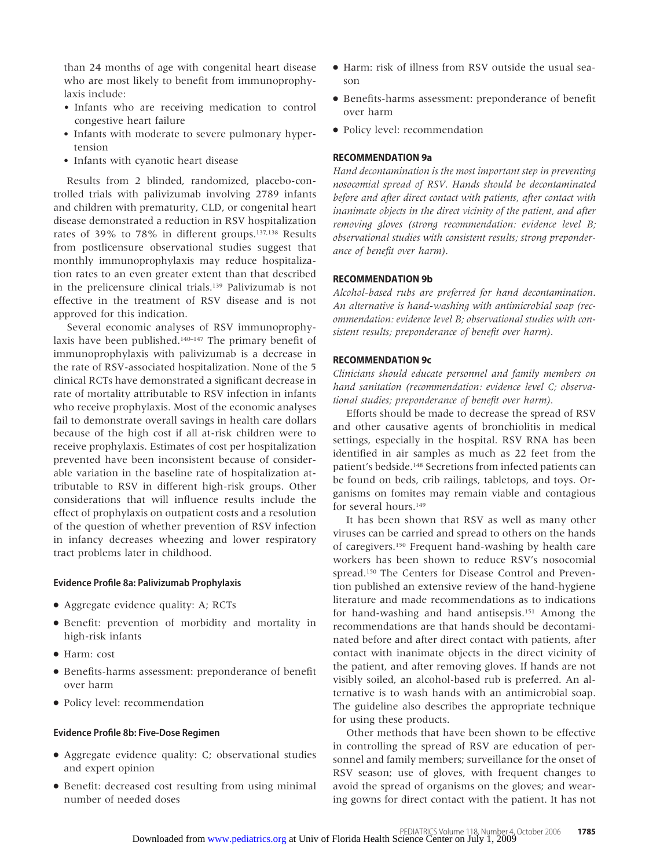than 24 months of age with congenital heart disease who are most likely to benefit from immunoprophylaxis include:

- Infants who are receiving medication to control congestive heart failure
- Infants with moderate to severe pulmonary hypertension
- Infants with cyanotic heart disease

Results from 2 blinded, randomized, placebo-controlled trials with palivizumab involving 2789 infants and children with prematurity, CLD, or congenital heart disease demonstrated a reduction in RSV hospitalization rates of 39% to 78% in different groups.137,138 Results from postlicensure observational studies suggest that monthly immunoprophylaxis may reduce hospitalization rates to an even greater extent than that described in the prelicensure clinical trials.139 Palivizumab is not effective in the treatment of RSV disease and is not approved for this indication.

Several economic analyses of RSV immunoprophylaxis have been published.140–147 The primary benefit of immunoprophylaxis with palivizumab is a decrease in the rate of RSV-associated hospitalization. None of the 5 clinical RCTs have demonstrated a significant decrease in rate of mortality attributable to RSV infection in infants who receive prophylaxis. Most of the economic analyses fail to demonstrate overall savings in health care dollars because of the high cost if all at-risk children were to receive prophylaxis. Estimates of cost per hospitalization prevented have been inconsistent because of considerable variation in the baseline rate of hospitalization attributable to RSV in different high-risk groups. Other considerations that will influence results include the effect of prophylaxis on outpatient costs and a resolution of the question of whether prevention of RSV infection in infancy decreases wheezing and lower respiratory tract problems later in childhood.

#### **Evidence Profile 8a: Palivizumab Prophylaxis**

- Aggregate evidence quality: A; RCTs
- Benefit: prevention of morbidity and mortality in high-risk infants
- Harm: cost
- Benefits-harms assessment: preponderance of benefit over harm
- Policy level: recommendation

#### **Evidence Profile 8b: Five-Dose Regimen**

- Aggregate evidence quality: C; observational studies and expert opinion
- Benefit: decreased cost resulting from using minimal number of needed doses
- Harm: risk of illness from RSV outside the usual season
- Benefits-harms assessment: preponderance of benefit over harm
- Policy level: recommendation

#### **RECOMMENDATION 9a**

*Hand decontamination is the most important step in preventing nosocomial spread of RSV*. *Hands should be decontaminated before and after direct contact with patients, after contact with inanimate objects in the direct vicinity of the patient, and after removing gloves (strong recommendation: evidence level B; observational studies with consistent results; strong preponderance of benefit over harm)*.

# **RECOMMENDATION 9b**

*Alcohol*-*based rubs are preferred for hand decontamination*. *An alternative is hand*-*washing with antimicrobial soap (recommendation: evidence level B; observational studies with consistent results; preponderance of benefit over harm)*.

#### **RECOMMENDATION 9c**

*Clinicians should educate personnel and family members on hand sanitation (recommendation: evidence level C; observational studies; preponderance of benefit over harm)*.

Efforts should be made to decrease the spread of RSV and other causative agents of bronchiolitis in medical settings, especially in the hospital. RSV RNA has been identified in air samples as much as 22 feet from the patient's bedside.148 Secretions from infected patients can be found on beds, crib railings, tabletops, and toys. Organisms on fomites may remain viable and contagious for several hours.149

It has been shown that RSV as well as many other viruses can be carried and spread to others on the hands of caregivers.150 Frequent hand-washing by health care workers has been shown to reduce RSV's nosocomial spread.150 The Centers for Disease Control and Prevention published an extensive review of the hand-hygiene literature and made recommendations as to indications for hand-washing and hand antisepsis.151 Among the recommendations are that hands should be decontaminated before and after direct contact with patients, after contact with inanimate objects in the direct vicinity of the patient, and after removing gloves. If hands are not visibly soiled, an alcohol-based rub is preferred. An alternative is to wash hands with an antimicrobial soap. The guideline also describes the appropriate technique for using these products.

Other methods that have been shown to be effective in controlling the spread of RSV are education of personnel and family members; surveillance for the onset of RSV season; use of gloves, with frequent changes to avoid the spread of organisms on the gloves; and wearing gowns for direct contact with the patient. It has not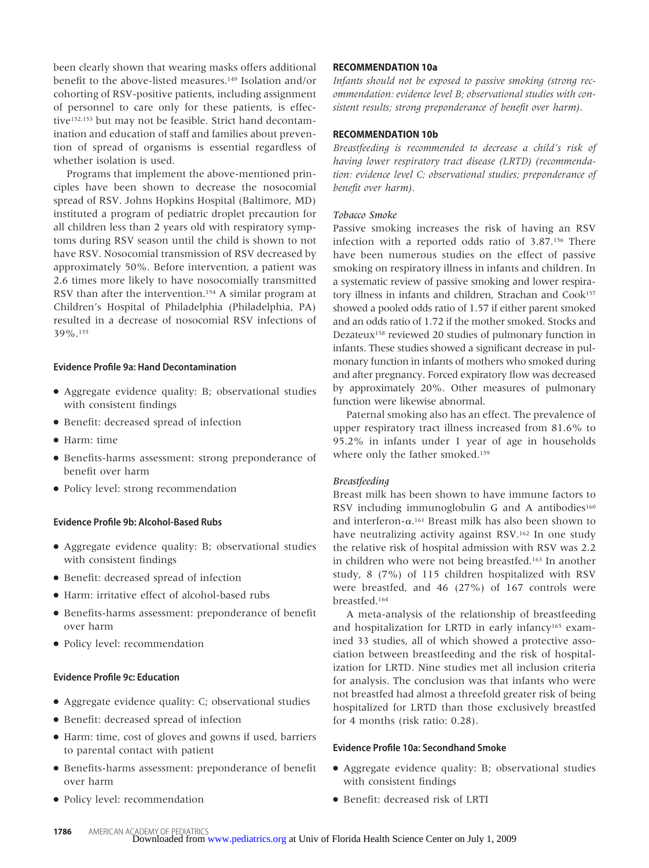been clearly shown that wearing masks offers additional benefit to the above-listed measures.149 Isolation and/or cohorting of RSV-positive patients, including assignment of personnel to care only for these patients, is effective<sup>152,153</sup> but may not be feasible. Strict hand decontamination and education of staff and families about prevention of spread of organisms is essential regardless of whether isolation is used.

Programs that implement the above-mentioned principles have been shown to decrease the nosocomial spread of RSV. Johns Hopkins Hospital (Baltimore, MD) instituted a program of pediatric droplet precaution for all children less than 2 years old with respiratory symptoms during RSV season until the child is shown to not have RSV. Nosocomial transmission of RSV decreased by approximately 50%. Before intervention, a patient was 2.6 times more likely to have nosocomially transmitted RSV than after the intervention.154 A similar program at Children's Hospital of Philadelphia (Philadelphia, PA) resulted in a decrease of nosocomial RSV infections of 39%.155

#### **Evidence Profile 9a: Hand Decontamination**

- Aggregate evidence quality: B; observational studies with consistent findings
- Benefit: decreased spread of infection
- Harm: time
- Benefits-harms assessment: strong preponderance of benefit over harm
- Policy level: strong recommendation

# **Evidence Profile 9b: Alcohol-Based Rubs**

- Aggregate evidence quality: B; observational studies with consistent findings
- Benefit: decreased spread of infection
- Harm: irritative effect of alcohol-based rubs
- Benefits-harms assessment: preponderance of benefit over harm
- Policy level: recommendation

# **Evidence Profile 9c: Education**

- Aggregate evidence quality: C; observational studies
- Benefit: decreased spread of infection
- Harm: time, cost of gloves and gowns if used, barriers to parental contact with patient
- Benefits-harms assessment: preponderance of benefit over harm
- Policy level: recommendation

# **RECOMMENDATION 10a**

*Infants should not be exposed to passive smoking (strong recommendation: evidence level B; observational studies with consistent results; strong preponderance of benefit over harm)*.

# **RECOMMENDATION 10b**

*Breastfeeding is recommended to decrease a child's risk of having lower respiratory tract disease (LRTD) (recommendation: evidence level C; observational studies; preponderance of benefit over harm)*.

# *Tobacco Smoke*

Passive smoking increases the risk of having an RSV infection with a reported odds ratio of 3.87.156 There have been numerous studies on the effect of passive smoking on respiratory illness in infants and children. In a systematic review of passive smoking and lower respiratory illness in infants and children, Strachan and Cook<sup>157</sup> showed a pooled odds ratio of 1.57 if either parent smoked and an odds ratio of 1.72 if the mother smoked. Stocks and Dezateux158 reviewed 20 studies of pulmonary function in infants. These studies showed a significant decrease in pulmonary function in infants of mothers who smoked during and after pregnancy. Forced expiratory flow was decreased by approximately 20%. Other measures of pulmonary function were likewise abnormal.

Paternal smoking also has an effect. The prevalence of upper respiratory tract illness increased from 81.6% to 95.2% in infants under 1 year of age in households where only the father smoked.<sup>159</sup>

# *Breastfeeding*

Breast milk has been shown to have immune factors to RSV including immunoglobulin G and A antibodies<sup>160</sup> and interferon- $\alpha$ <sup>161</sup> Breast milk has also been shown to have neutralizing activity against RSV.162 In one study the relative risk of hospital admission with RSV was 2.2 in children who were not being breastfed.163 In another study, 8 (7%) of 115 children hospitalized with RSV were breastfed, and 46 (27%) of 167 controls were breastfed.164

A meta-analysis of the relationship of breastfeeding and hospitalization for LRTD in early infancy<sup>165</sup> examined 33 studies, all of which showed a protective association between breastfeeding and the risk of hospitalization for LRTD. Nine studies met all inclusion criteria for analysis. The conclusion was that infants who were not breastfed had almost a threefold greater risk of being hospitalized for LRTD than those exclusively breastfed for 4 months (risk ratio: 0.28).

# **Evidence Profile 10a: Secondhand Smoke**

- Aggregate evidence quality: B; observational studies with consistent findings
- Benefit: decreased risk of LRTI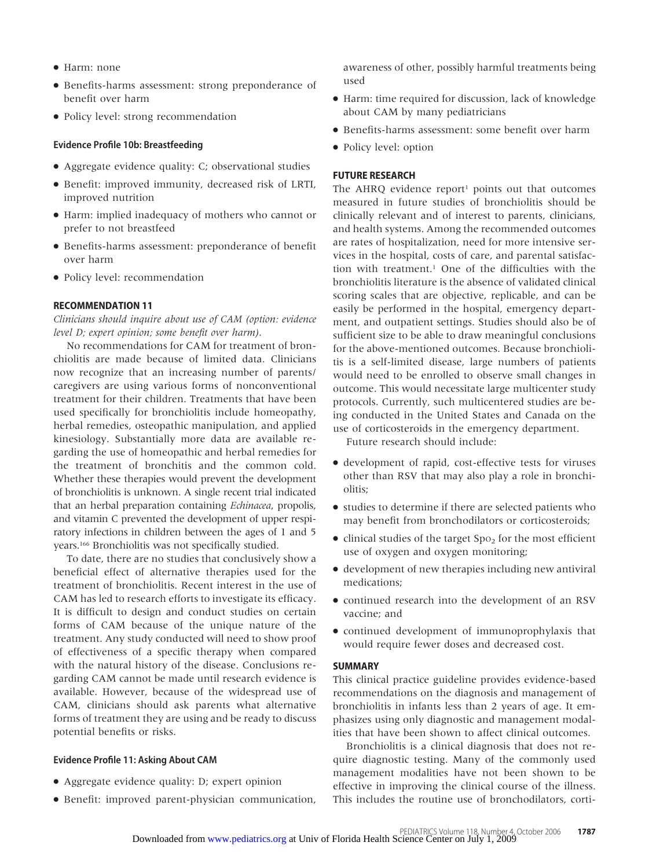- Harm: none
- Benefits-harms assessment: strong preponderance of benefit over harm
- Policy level: strong recommendation

#### **Evidence Profile 10b: Breastfeeding**

- Aggregate evidence quality: C; observational studies
- Benefit: improved immunity, decreased risk of LRTI, improved nutrition
- Harm: implied inadequacy of mothers who cannot or prefer to not breastfeed
- Benefits-harms assessment: preponderance of benefit over harm
- Policy level: recommendation

## **RECOMMENDATION 11**

*Clinicians should inquire about use of CAM (option: evidence level D; expert opinion; some benefit over harm)*.

No recommendations for CAM for treatment of bronchiolitis are made because of limited data. Clinicians now recognize that an increasing number of parents/ caregivers are using various forms of nonconventional treatment for their children. Treatments that have been used specifically for bronchiolitis include homeopathy, herbal remedies, osteopathic manipulation, and applied kinesiology. Substantially more data are available regarding the use of homeopathic and herbal remedies for the treatment of bronchitis and the common cold. Whether these therapies would prevent the development of bronchiolitis is unknown. A single recent trial indicated that an herbal preparation containing *Echinacea*, propolis, and vitamin C prevented the development of upper respiratory infections in children between the ages of 1 and 5 years.166 Bronchiolitis was not specifically studied.

To date, there are no studies that conclusively show a beneficial effect of alternative therapies used for the treatment of bronchiolitis. Recent interest in the use of CAM has led to research efforts to investigate its efficacy. It is difficult to design and conduct studies on certain forms of CAM because of the unique nature of the treatment. Any study conducted will need to show proof of effectiveness of a specific therapy when compared with the natural history of the disease. Conclusions regarding CAM cannot be made until research evidence is available. However, because of the widespread use of CAM, clinicians should ask parents what alternative forms of treatment they are using and be ready to discuss potential benefits or risks.

#### **Evidence Profile 11: Asking About CAM**

- Aggregate evidence quality: D; expert opinion
- Benefit: improved parent-physician communication,

awareness of other, possibly harmful treatments being used

- Harm: time required for discussion, lack of knowledge about CAM by many pediatricians
- Benefits-harms assessment: some benefit over harm
- Policy level: option

# **FUTURE RESEARCH**

The AHRQ evidence report<sup>1</sup> points out that outcomes measured in future studies of bronchiolitis should be clinically relevant and of interest to parents, clinicians, and health systems. Among the recommended outcomes are rates of hospitalization, need for more intensive services in the hospital, costs of care, and parental satisfaction with treatment.1 One of the difficulties with the bronchiolitis literature is the absence of validated clinical scoring scales that are objective, replicable, and can be easily be performed in the hospital, emergency department, and outpatient settings. Studies should also be of sufficient size to be able to draw meaningful conclusions for the above-mentioned outcomes. Because bronchiolitis is a self-limited disease, large numbers of patients would need to be enrolled to observe small changes in outcome. This would necessitate large multicenter study protocols. Currently, such multicentered studies are being conducted in the United States and Canada on the use of corticosteroids in the emergency department.

Future research should include:

- development of rapid, cost-effective tests for viruses other than RSV that may also play a role in bronchiolitis;
- studies to determine if there are selected patients who may benefit from bronchodilators or corticosteroids;
- $\bullet$  clinical studies of the target Spo<sub>2</sub> for the most efficient use of oxygen and oxygen monitoring;
- development of new therapies including new antiviral medications;
- continued research into the development of an RSV vaccine; and
- continued development of immunoprophylaxis that would require fewer doses and decreased cost.

#### **SUMMARY**

This clinical practice guideline provides evidence-based recommendations on the diagnosis and management of bronchiolitis in infants less than 2 years of age. It emphasizes using only diagnostic and management modalities that have been shown to affect clinical outcomes.

Bronchiolitis is a clinical diagnosis that does not require diagnostic testing. Many of the commonly used management modalities have not been shown to be effective in improving the clinical course of the illness. This includes the routine use of bronchodilators, corti-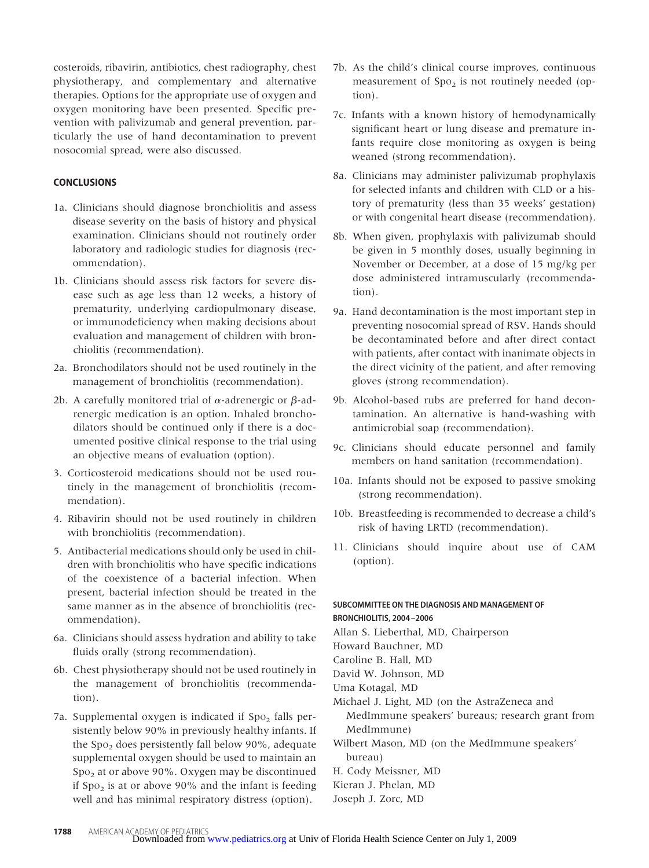costeroids, ribavirin, antibiotics, chest radiography, chest physiotherapy, and complementary and alternative therapies. Options for the appropriate use of oxygen and oxygen monitoring have been presented. Specific prevention with palivizumab and general prevention, particularly the use of hand decontamination to prevent nosocomial spread, were also discussed.

# **CONCLUSIONS**

- 1a. Clinicians should diagnose bronchiolitis and assess disease severity on the basis of history and physical examination. Clinicians should not routinely order laboratory and radiologic studies for diagnosis (recommendation).
- 1b. Clinicians should assess risk factors for severe disease such as age less than 12 weeks, a history of prematurity, underlying cardiopulmonary disease, or immunodeficiency when making decisions about evaluation and management of children with bronchiolitis (recommendation).
- 2a. Bronchodilators should not be used routinely in the management of bronchiolitis (recommendation).
- 2b. A carefully monitored trial of  $\alpha$ -adrenergic or  $\beta$ -adrenergic medication is an option. Inhaled bronchodilators should be continued only if there is a documented positive clinical response to the trial using an objective means of evaluation (option).
- 3. Corticosteroid medications should not be used routinely in the management of bronchiolitis (recommendation).
- 4. Ribavirin should not be used routinely in children with bronchiolitis (recommendation).
- 5. Antibacterial medications should only be used in children with bronchiolitis who have specific indications of the coexistence of a bacterial infection. When present, bacterial infection should be treated in the same manner as in the absence of bronchiolitis (recommendation).
- 6a. Clinicians should assess hydration and ability to take fluids orally (strong recommendation).
- 6b. Chest physiotherapy should not be used routinely in the management of bronchiolitis (recommendation).
- 7a. Supplemental oxygen is indicated if Spo<sub>2</sub> falls persistently below 90% in previously healthy infants. If the  $Spo<sub>2</sub>$  does persistently fall below 90%, adequate supplemental oxygen should be used to maintain an SpO2 at or above 90%. Oxygen may be discontinued if  $Spo<sub>2</sub>$  is at or above 90% and the infant is feeding well and has minimal respiratory distress (option).
- 7b. As the child's clinical course improves, continuous measurement of  $Spo<sub>2</sub>$  is not routinely needed (option).
- 7c. Infants with a known history of hemodynamically significant heart or lung disease and premature infants require close monitoring as oxygen is being weaned (strong recommendation).
- 8a. Clinicians may administer palivizumab prophylaxis for selected infants and children with CLD or a history of prematurity (less than 35 weeks' gestation) or with congenital heart disease (recommendation).
- 8b. When given, prophylaxis with palivizumab should be given in 5 monthly doses, usually beginning in November or December, at a dose of 15 mg/kg per dose administered intramuscularly (recommendation).
- 9a. Hand decontamination is the most important step in preventing nosocomial spread of RSV. Hands should be decontaminated before and after direct contact with patients, after contact with inanimate objects in the direct vicinity of the patient, and after removing gloves (strong recommendation).
- 9b. Alcohol-based rubs are preferred for hand decontamination. An alternative is hand-washing with antimicrobial soap (recommendation).
- 9c. Clinicians should educate personnel and family members on hand sanitation (recommendation).
- 10a. Infants should not be exposed to passive smoking (strong recommendation).
- 10b. Breastfeeding is recommended to decrease a child's risk of having LRTD (recommendation).
- 11. Clinicians should inquire about use of CAM (option).

# **SUBCOMMITTEE ON THE DIAGNOSIS AND MANAGEMENT OF BRONCHIOLITIS, 2004 –2006**

Allan S. Lieberthal, MD, Chairperson Howard Bauchner, MD Caroline B. Hall, MD David W. Johnson, MD Uma Kotagal, MD Michael J. Light, MD (on the AstraZeneca and MedImmune speakers' bureaus; research grant from MedImmune) Wilbert Mason, MD (on the MedImmune speakers' bureau)

- H. Cody Meissner, MD
- Kieran J. Phelan, MD Joseph J. Zorc, MD

**1788** AMERICAN ACADEMY OF PEDIATRICS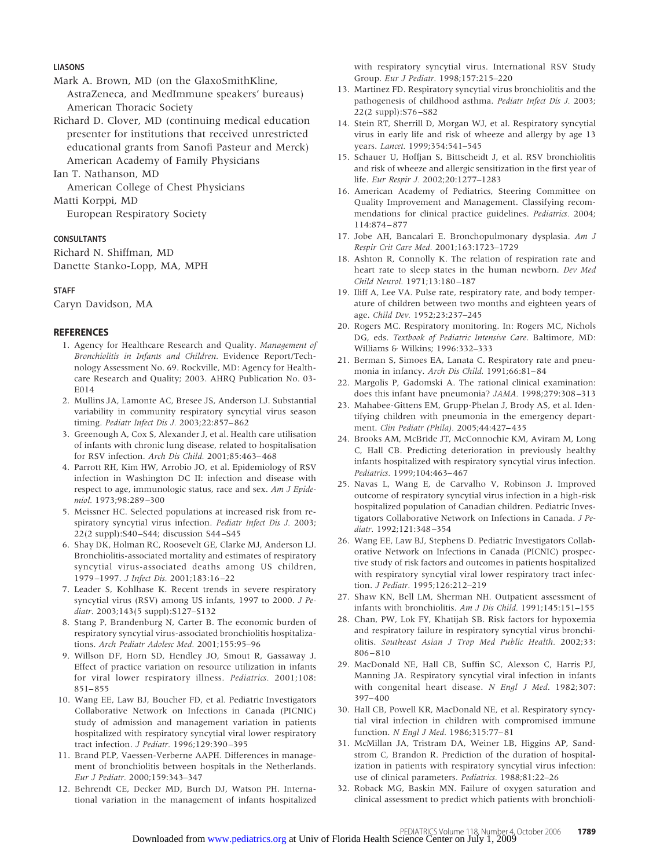# **LIASONS**

Mark A. Brown, MD (on the GlaxoSmithKline,

AstraZeneca, and MedImmune speakers' bureaus) American Thoracic Society

Richard D. Clover, MD (continuing medical education presenter for institutions that received unrestricted educational grants from Sanofi Pasteur and Merck) American Academy of Family Physicians

Ian T. Nathanson, MD

American College of Chest Physicians

Matti Korppi, MD

European Respiratory Society

#### **CONSULTANTS**

Richard N. Shiffman, MD Danette Stanko-Lopp, MA, MPH

#### **STAFF**

Caryn Davidson, MA

#### **REFERENCES**

- 1. Agency for Healthcare Research and Quality. *Management of Bronchiolitis in Infants and Children.* Evidence Report/Technology Assessment No. 69. Rockville, MD: Agency for Healthcare Research and Quality; 2003. AHRQ Publication No. 03- E014
- 2. Mullins JA, Lamonte AC, Bresee JS, Anderson LJ. Substantial variability in community respiratory syncytial virus season timing. *Pediatr Infect Dis J.* 2003;22:857– 862
- 3. Greenough A, Cox S, Alexander J, et al. Health care utilisation of infants with chronic lung disease, related to hospitalisation for RSV infection. *Arch Dis Child.* 2001;85:463– 468
- 4. Parrott RH, Kim HW, Arrobio JO, et al. Epidemiology of RSV infection in Washington DC II: infection and disease with respect to age, immunologic status, race and sex. *Am J Epidemiol.* 1973;98:289 –300
- 5. Meissner HC. Selected populations at increased risk from respiratory syncytial virus infection. *Pediatr Infect Dis J.* 2003; 22(2 suppl):S40 –S44; discussion S44 –S45
- 6. Shay DK, Holman RC, Roosevelt GE, Clarke MJ, Anderson LJ. Bronchiolitis-associated mortality and estimates of respiratory syncytial virus-associated deaths among US children, 1979 –1997. *J Infect Dis.* 2001;183:16 –22
- 7. Leader S, Kohlhase K. Recent trends in severe respiratory syncytial virus (RSV) among US infants, 1997 to 2000. *J Pediatr.* 2003;143(5 suppl):S127–S132
- 8. Stang P, Brandenburg N, Carter B. The economic burden of respiratory syncytial virus-associated bronchiolitis hospitalizations. *Arch Pediatr Adolesc Med.* 2001;155:95–96
- 9. Willson DF, Horn SD, Hendley JO, Smout R, Gassaway J. Effect of practice variation on resource utilization in infants for viral lower respiratory illness. *Pediatrics.* 2001;108: 851– 855
- 10. Wang EE, Law BJ, Boucher FD, et al. Pediatric Investigators Collaborative Network on Infections in Canada (PICNIC) study of admission and management variation in patients hospitalized with respiratory syncytial viral lower respiratory tract infection. *J Pediatr.* 1996;129:390 –395
- 11. Brand PLP, Vaessen-Verberne AAPH. Differences in management of bronchiolitis between hospitals in the Netherlands. *Eur J Pediatr.* 2000;159:343–347
- 12. Behrendt CE, Decker MD, Burch DJ, Watson PH. International variation in the management of infants hospitalized

with respiratory syncytial virus. International RSV Study Group. *Eur J Pediatr.* 1998;157:215–220

- 13. Martinez FD. Respiratory syncytial virus bronchiolitis and the pathogenesis of childhood asthma. *Pediatr Infect Dis J.* 2003; 22(2 suppl):S76 –S82
- 14. Stein RT, Sherrill D, Morgan WJ, et al. Respiratory syncytial virus in early life and risk of wheeze and allergy by age 13 years. *Lancet.* 1999;354:541–545
- 15. Schauer U, Hoffjan S, Bittscheidt J, et al. RSV bronchiolitis and risk of wheeze and allergic sensitization in the first year of life. *Eur Respir J.* 2002;20:1277–1283
- 16. American Academy of Pediatrics, Steering Committee on Quality Improvement and Management. Classifying recommendations for clinical practice guidelines. *Pediatrics.* 2004; 114:874 – 877
- 17. Jobe AH, Bancalari E. Bronchopulmonary dysplasia. *Am J Respir Crit Care Med.* 2001;163:1723–1729
- 18. Ashton R, Connolly K. The relation of respiration rate and heart rate to sleep states in the human newborn. *Dev Med Child Neurol.* 1971;13:180 –187
- 19. Iliff A, Lee VA. Pulse rate, respiratory rate, and body temperature of children between two months and eighteen years of age. *Child Dev.* 1952;23:237–245
- 20. Rogers MC. Respiratory monitoring. In: Rogers MC, Nichols DG, eds. *Textbook of Pediatric Intensive Care*. Baltimore, MD: Williams & Wilkins; 1996:332–333
- 21. Berman S, Simoes EA, Lanata C. Respiratory rate and pneumonia in infancy. *Arch Dis Child.* 1991;66:81– 84
- 22. Margolis P, Gadomski A. The rational clinical examination: does this infant have pneumonia? *JAMA.* 1998;279:308 –313
- 23. Mahabee-Gittens EM, Grupp-Phelan J, Brody AS, et al. Identifying children with pneumonia in the emergency department. *Clin Pediatr (Phila).* 2005;44:427– 435
- 24. Brooks AM, McBride JT, McConnochie KM, Aviram M, Long C, Hall CB. Predicting deterioration in previously healthy infants hospitalized with respiratory syncytial virus infection. *Pediatrics.* 1999;104:463– 467
- 25. Navas L, Wang E, de Carvalho V, Robinson J. Improved outcome of respiratory syncytial virus infection in a high-risk hospitalized population of Canadian children. Pediatric Investigators Collaborative Network on Infections in Canada. *J Pediatr.* 1992;121:348 –354
- 26. Wang EE, Law BJ, Stephens D. Pediatric Investigators Collaborative Network on Infections in Canada (PICNIC) prospective study of risk factors and outcomes in patients hospitalized with respiratory syncytial viral lower respiratory tract infection. *J Pediatr.* 1995;126:212–219
- 27. Shaw KN, Bell LM, Sherman NH. Outpatient assessment of infants with bronchiolitis. *Am J Dis Child.* 1991;145:151–155
- 28. Chan, PW, Lok FY, Khatijah SB. Risk factors for hypoxemia and respiratory failure in respiratory syncytial virus bronchiolitis. *Southeast Asian J Trop Med Public Health.* 2002;33: 806 – 810
- 29. MacDonald NE, Hall CB, Suffin SC, Alexson C, Harris PJ, Manning JA. Respiratory syncytial viral infection in infants with congenital heart disease. *N Engl J Med.* 1982;307: 397– 400
- 30. Hall CB, Powell KR, MacDonald NE, et al. Respiratory syncytial viral infection in children with compromised immune function. *N Engl J Med.* 1986;315:77– 81
- 31. McMillan JA, Tristram DA, Weiner LB, Higgins AP, Sandstrom C, Brandon R. Prediction of the duration of hospitalization in patients with respiratory syncytial virus infection: use of clinical parameters. *Pediatrics.* 1988;81:22–26
- 32. Roback MG, Baskin MN. Failure of oxygen saturation and clinical assessment to predict which patients with bronchioli-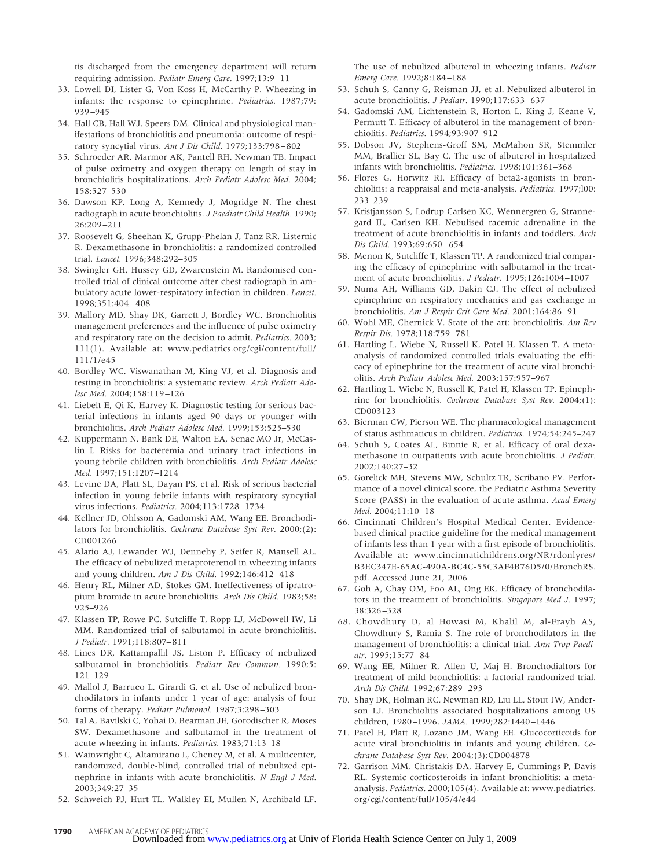tis discharged from the emergency department will return requiring admission. *Pediatr Emerg Care.* 1997;13:9 –11

- 33. Lowell DI, Lister G, Von Koss H, McCarthy P. Wheezing in infants: the response to epinephrine. *Pediatrics.* 1987;79: 939 –945
- 34. Hall CB, Hall WJ, Speers DM. Clinical and physiological manifestations of bronchiolitis and pneumonia: outcome of respiratory syncytial virus. *Am J Dis Child.* 1979;133:798 – 802
- 35. Schroeder AR, Marmor AK, Pantell RH, Newman TB. Impact of pulse oximetry and oxygen therapy on length of stay in bronchiolitis hospitalizations. *Arch Pediatr Adolesc Med.* 2004; 158:527–530
- 36. Dawson KP, Long A, Kennedy J, Mogridge N. The chest radiograph in acute bronchiolitis. *J Paediatr Child Health.* 1990; 26:209 –211
- 37. Roosevelt G, Sheehan K, Grupp-Phelan J, Tanz RR, Listernic R. Dexamethasone in bronchiolitis: a randomized controlled trial. *Lancet.* 1996;348:292–305
- 38. Swingler GH, Hussey GD, Zwarenstein M. Randomised controlled trial of clinical outcome after chest radiograph in ambulatory acute lower-respiratory infection in children. *Lancet.* 1998;351:404 – 408
- 39. Mallory MD, Shay DK, Garrett J, Bordley WC. Bronchiolitis management preferences and the influence of pulse oximetry and respiratory rate on the decision to admit. *Pediatrics.* 2003; 111(1). Available at: www.pediatrics.org/cgi/content/full/ 111/1/e45
- 40. Bordley WC, Viswanathan M, King VJ, et al. Diagnosis and testing in bronchiolitis: a systematic review. *Arch Pediatr Adolesc Med.* 2004;158:119 –126
- 41. Liebelt E, Qi K, Harvey K. Diagnostic testing for serious bacterial infections in infants aged 90 days or younger with bronchiolitis. *Arch Pediatr Adolesc Med.* 1999;153:525–530
- 42. Kuppermann N, Bank DE, Walton EA, Senac MO Jr, McCaslin I. Risks for bacteremia and urinary tract infections in young febrile children with bronchiolitis. *Arch Pediatr Adolesc Med.* 1997;151:1207–1214
- 43. Levine DA, Platt SL, Dayan PS, et al. Risk of serious bacterial infection in young febrile infants with respiratory syncytial virus infections. *Pediatrics.* 2004;113:1728 –1734
- 44. Kellner JD, Ohlsson A, Gadomski AM, Wang EE. Bronchodilators for bronchiolitis. *Cochrane Database Syst Rev.* 2000;(2): CD001266
- 45. Alario AJ, Lewander WJ, Dennehy P, Seifer R, Mansell AL. The efficacy of nebulized metaproterenol in wheezing infants and young children. *Am J Dis Child.* 1992;146:412– 418
- 46. Henry RL, Milner AD, Stokes GM. Ineffectiveness of ipratropium bromide in acute bronchiolitis. *Arch Dis Child.* 1983;58: 925–926
- 47. Klassen TP, Rowe PC, Sutcliffe T, Ropp LJ, McDowell IW, Li MM. Randomized trial of salbutamol in acute bronchiolitis. *J Pediatr.* 1991;118:807– 811
- 48. Lines DR, Kattampallil JS, Liston P. Efficacy of nebulized salbutamol in bronchiolitis. *Pediatr Rev Commun.* 1990;5: 121–129
- 49. Mallol J, Barrueo L, Girardi G, et al. Use of nebulized bronchodilators in infants under 1 year of age: analysis of four forms of therapy. *Pediatr Pulmonol.* 1987;3:298 –303
- 50. Tal A, Bavilski C, Yohai D, Bearman JE, Gorodischer R, Moses SW. Dexamethasone and salbutamol in the treatment of acute wheezing in infants. *Pediatrics.* 1983;71:13–18
- 51. Wainwright C, Altamirano L, Cheney M, et al. A multicenter, randomized, double-blind, controlled trial of nebulized epinephrine in infants with acute bronchiolitis. *N Engl J Med.* 2003;349:27–35
- 52. Schweich PJ, Hurt TL, Walkley EI, Mullen N, Archibald LF.

The use of nebulized albuterol in wheezing infants. *Pediatr Emerg Care.* 1992;8:184 –188

- 53. Schuh S, Canny G, Reisman JJ, et al. Nebulized albuterol in acute bronchiolitis. *J Pediatr.* 1990;117:633– 637
- 54. Gadomski AM, Lichtenstein R, Horton L, King J, Keane V, Permutt T. Efficacy of albuterol in the management of bronchiolitis. *Pediatrics.* 1994;93:907–912
- 55. Dobson JV, Stephens-Groff SM, McMahon SR, Stemmler MM, Brallier SL, Bay C. The use of albuterol in hospitalized infants with bronchiolitis. *Pediatrics.* 1998;101:361–368
- 56. Flores G, Horwitz RI. Efficacy of beta2-agonists in bronchiolitis: a reappraisal and meta-analysis. *Pediatrics.* 1997;l00: 233–239
- 57. Kristjansson S, Lodrup Carlsen KC, Wennergren G, Strannegard IL, Carlsen KH. Nebulised racemic adrenaline in the treatment of acute bronchiolitis in infants and toddlers. *Arch Dis Child.* 1993;69:650 – 654
- 58. Menon K, Sutcliffe T, Klassen TP. A randomized trial comparing the efficacy of epinephrine with salbutamol in the treatment of acute bronchiolitis. *J Pediatr.* 1995;126:1004 –1007
- 59. Numa AH, Williams GD, Dakin CJ. The effect of nebulized epinephrine on respiratory mechanics and gas exchange in bronchiolitis. *Am J Respir Crit Care Med.* 2001;164:86 –91
- 60. Wohl ME, Chernick V. State of the art: bronchiolitis. *Am Rev Respir Dis.* 1978;118:759 –781
- 61. Hartling L, Wiebe N, Russell K, Patel H, Klassen T. A metaanalysis of randomized controlled trials evaluating the efficacy of epinephrine for the treatment of acute viral bronchiolitis. *Arch Pediatr Adolesc Med.* 2003;157:957–967
- 62. Hartling L, Wiebe N, Russell K, Patel H, Klassen TP. Epinephrine for bronchiolitis. *Cochrane Database Syst Rev.* 2004;(1): CD003123
- 63. Bierman CW, Pierson WE. The pharmacological management of status asthmaticus in children. *Pediatrics.* 1974;54:245–247
- 64. Schuh S, Coates AL, Binnie R, et al. Efficacy of oral dexamethasone in outpatients with acute bronchiolitis. *J Pediatr.*  $2002:140:27-32$
- 65. Gorelick MH, Stevens MW, Schultz TR, Scribano PV. Performance of a novel clinical score, the Pediatric Asthma Severity Score (PASS) in the evaluation of acute asthma. *Acad Emerg Med.* 2004;11:10 –18
- 66. Cincinnati Children's Hospital Medical Center. Evidencebased clinical practice guideline for the medical management of infants less than 1 year with a first episode of bronchiolitis. Available at: www.cincinnatichildrens.org/NR/rdonlyres/ B3EC347E-65AC-490A-BC4C-55C3AF4B76D5/0/BronchRS. pdf. Accessed June 21, 2006
- 67. Goh A, Chay OM, Foo AL, Ong EK. Efficacy of bronchodilators in the treatment of bronchiolitis. *Singapore Med J.* 1997; 38:326 –328
- 68. Chowdhury D, al Howasi M, Khalil M, al-Frayh AS, Chowdhury S, Ramia S. The role of bronchodilators in the management of bronchiolitis: a clinical trial. *Ann Trop Paediatr.* 1995;15:77– 84
- 69. Wang EE, Milner R, Allen U, Maj H. Bronchodialtors for treatment of mild bronchiolitis: a factorial randomized trial. *Arch Dis Child.* 1992;67:289 –293
- 70. Shay DK, Holman RC, Newman RD, Liu LL, Stout JW, Anderson LJ. Bronchiolitis associated hospitalizations among US children, 1980 –1996. *JAMA.* 1999;282:1440 –1446
- 71. Patel H, Platt R, Lozano JM, Wang EE. Glucocorticoids for acute viral bronchiolitis in infants and young children. *Cochrane Database Syst Rev.* 2004;(3):CD004878
- 72. Garrison MM, Christakis DA, Harvey E, Cummings P, Davis RL. Systemic corticosteroids in infant bronchiolitis: a metaanalysis. *Pediatrics.* 2000;105(4). Available at: www.pediatrics. org/cgi/content/full/105/4/e44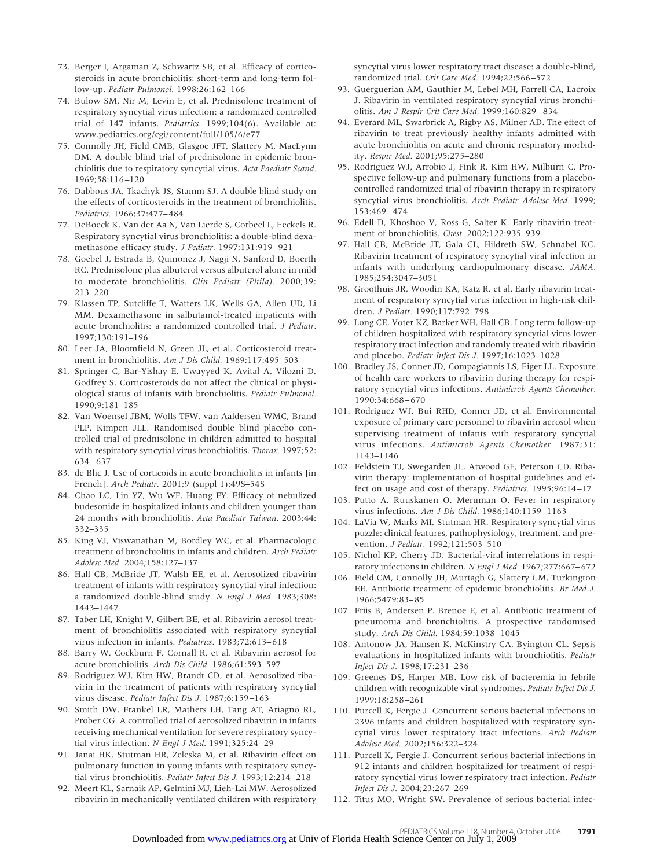- 73. Berger I, Argaman Z, Schwartz SB, et al. Efficacy of corticosteroids in acute bronchiolitis: short-term and long-term follow-up. *Pediatr Pulmonol.* 1998;26:162–166
- 74. Bulow SM, Nir M, Levin E, et al. Prednisolone treatment of respiratory syncytial virus infection: a randomized controlled trial of 147 infants. *Pediatrics.* 1999;104(6). Available at: www.pediatrics.org/cgi/content/full/105/6/e77
- 75. Connolly JH, Field CMB, Glasgoe JFT, Slattery M, MacLynn DM. A double blind trial of prednisolone in epidemic bronchiolitis due to respiratory syncytial virus. *Acta Paediatr Scand.* 1969;58:116 –120
- 76. Dabbous JA, Tkachyk JS, Stamm SJ. A double blind study on the effects of corticosteroids in the treatment of bronchiolitis. *Pediatrics.* 1966;37:477– 484
- 77. DeBoeck K, Van der Aa N, Van Lierde S, Corbeel L, Eeckels R. Respiratory syncytial virus bronchiolitis: a double-blind dexamethasone efficacy study. *J Pediatr.* 1997;131:919 –921
- 78. Goebel J, Estrada B, Quinonez J, Nagji N, Sanford D, Boerth RC. Prednisolone plus albuterol versus albuterol alone in mild to moderate bronchiolitis. *Clin Pediatr (Phila).* 2000;39: 213–220
- 79. Klassen TP, Sutcliffe T, Watters LK, Wells GA, Allen UD, Li MM. Dexamethasone in salbutamol-treated inpatients with acute bronchiolitis: a randomized controlled trial. *J Pediatr.* 1997;130:191–196
- 80. Leer JA, Bloomfield N, Green JL, et al. Corticosteroid treatment in bronchiolitis. *Am J Dis Child.* 1969;117:495–503
- 81. Springer C, Bar-Yishay E, Uwayyed K, Avital A, Vilozni D, Godfrey S. Corticosteroids do not affect the clinical or physiological status of infants with bronchiolitis. *Pediatr Pulmonol.* 1990;9:181–185
- 82. Van Woensel JBM, Wolfs TFW, van Aaldersen WMC, Brand PLP, Kimpen JLL. Randomised double blind placebo controlled trial of prednisolone in children admitted to hospital with respiratory syncytial virus bronchiolitis. *Thorax.* 1997;52: 634 – 637
- 83. de Blic J. Use of corticoids in acute bronchiolitis in infants [in French]. *Arch Pediatr.* 2001;9 (suppl 1):49S–54S
- 84. Chao LC, Lin YZ, Wu WF, Huang FY. Efficacy of nebulized budesonide in hospitalized infants and children younger than 24 months with bronchiolitis. *Acta Paediatr Taiwan.* 2003;44: 332–335
- 85. King VJ, Viswanathan M, Bordley WC, et al. Pharmacologic treatment of bronchiolitis in infants and children. *Arch Pediatr Adolesc Med.* 2004;158:127–137
- 86. Hall CB, McBride JT, Walsh EE, et al. Aerosolized ribavirin treatment of infants with respiratory syncytial viral infection: a randomized double-blind study. *N Engl J Med.* 1983;308: 1443–1447
- 87. Taber LH, Knight V, Gilbert BE, et al. Ribavirin aerosol treatment of bronchiolitis associated with respiratory syncytial virus infection in infants. *Pediatrics.* 1983;72:613– 618
- 88. Barry W, Cockburn F, Cornall R, et al. Ribavirin aerosol for acute bronchiolitis. *Arch Dis Child.* 1986;61:593–597
- 89. Rodriguez WJ, Kim HW, Brandt CD, et al. Aerosolized ribavirin in the treatment of patients with respiratory syncytial virus disease. *Pediatr Infect Dis J.* 1987;6:159 –163
- 90. Smith DW, Frankel LR, Mathers LH, Tang AT, Ariagno RL, Prober CG. A controlled trial of aerosolized ribavirin in infants receiving mechanical ventilation for severe respiratory syncytial virus infection. *N Engl J Med.* 1991;325:24 –29
- 91. Janai HK, Stutman HR, Zeleska M, et al. Ribavirin effect on pulmonary function in young infants with respiratory syncytial virus bronchiolitis. *Pediatr Infect Dis J.* 1993;12:214 –218
- 92. Meert KL, Sarnaik AP, Gelmini MJ, Lieh-Lai MW. Aerosolized ribavirin in mechanically ventilated children with respiratory

syncytial virus lower respiratory tract disease: a double-blind, randomized trial. *Crit Care Med.* 1994;22:566 –572

- 93. Guerguerian AM, Gauthier M, Lebel MH, Farrell CA, Lacroix J. Ribavirin in ventilated respiratory syncytial virus bronchiolitis. *Am J Respir Crit Care Med.* 1999;160:829 – 834
- 94. Everard ML, Swarbrick A, Rigby AS, Milner AD. The effect of ribavirin to treat previously healthy infants admitted with acute bronchiolitis on acute and chronic respiratory morbidity. *Respir Med.* 2001;95:275–280
- 95. Rodriguez WJ, Arrobio J, Fink R, Kim HW, Milburn C. Prospective follow-up and pulmonary functions from a placebocontrolled randomized trial of ribavirin therapy in respiratory syncytial virus bronchiolitis. *Arch Pediatr Adolesc Med.* 1999; 153:469 – 474
- 96. Edell D, Khoshoo V, Ross G, Salter K. Early ribavirin treatment of bronchiolitis. *Chest.* 2002;122:935–939
- 97. Hall CB, McBride JT, Gala CL, Hildreth SW, Schnabel KC. Ribavirin treatment of respiratory syncytial viral infection in infants with underlying cardiopulmonary disease. *JAMA.* 1985;254:3047–3051
- 98. Groothuis JR, Woodin KA, Katz R, et al. Early ribavirin treatment of respiratory syncytial virus infection in high-risk children. *J Pediatr.* 1990;117:792–798
- 99. Long CE, Voter KZ, Barker WH, Hall CB. Long term follow-up of children hospitalized with respiratory syncytial virus lower respiratory tract infection and randomly treated with ribavirin and placebo. *Pediatr Infect Dis J.* 1997;16:1023–1028
- 100. Bradley JS, Conner JD, Compagiannis LS, Eiger LL. Exposure of health care workers to ribavirin during therapy for respiratory syncytial virus infections. *Antimicrob Agents Chemother.* 1990;34:668 – 670
- 101. Rodriguez WJ, Bui RHD, Conner JD, et al. Environmental exposure of primary care personnel to ribavirin aerosol when supervising treatment of infants with respiratory syncytial virus infections. *Antimicrob Agents Chemother.* 1987;31: 1143–1146
- 102. Feldstein TJ, Swegarden JL, Atwood GF, Peterson CD. Ribavirin therapy: implementation of hospital guidelines and effect on usage and cost of therapy. *Pediatrics.* 1995;96:14 –17
- 103. Putto A, Ruuskanen O, Meruman O. Fever in respiratory virus infections. *Am J Dis Child.* 1986;140:1159 –1163
- 104. LaVia W, Marks MI, Stutman HR. Respiratory syncytial virus puzzle: clinical features, pathophysiology, treatment, and prevention. *J Pediatr.* 1992;121:503–510
- 105. Nichol KP, Cherry JD. Bacterial-viral interrelations in respiratory infections in children. *N Engl J Med.* 1967;277:667– 672
- 106. Field CM, Connolly JH, Murtagh G, Slattery CM, Turkington EE. Antibiotic treatment of epidemic bronchiolitis. *Br Med J.* 1966;5479:83– 85
- 107. Friis B, Andersen P. Brenoe E, et al. Antibiotic treatment of pneumonia and bronchiolitis. A prospective randomised study. *Arch Dis Child.* 1984;59:1038 –1045
- 108. Antonow JA, Hansen K, McKinstry CA, Byington CL. Sepsis evaluations in hospitalized infants with bronchiolitis. *Pediatr Infect Dis J.* 1998;17:231–236
- 109. Greenes DS, Harper MB. Low risk of bacteremia in febrile children with recognizable viral syndromes. *Pediatr Infect Dis J.* 1999;18:258 –261
- 110. Purcell K, Fergie J. Concurrent serious bacterial infections in 2396 infants and children hospitalized with respiratory syncytial virus lower respiratory tract infections. *Arch Pediatr Adolesc Med.* 2002;156:322–324
- 111. Purcell K, Fergie J. Concurrent serious bacterial infections in 912 infants and children hospitalized for treatment of respiratory syncytial virus lower respiratory tract infection. *Pediatr Infect Dis J.* 2004;23:267–269
- 112. Titus MO, Wright SW. Prevalence of serious bacterial infec-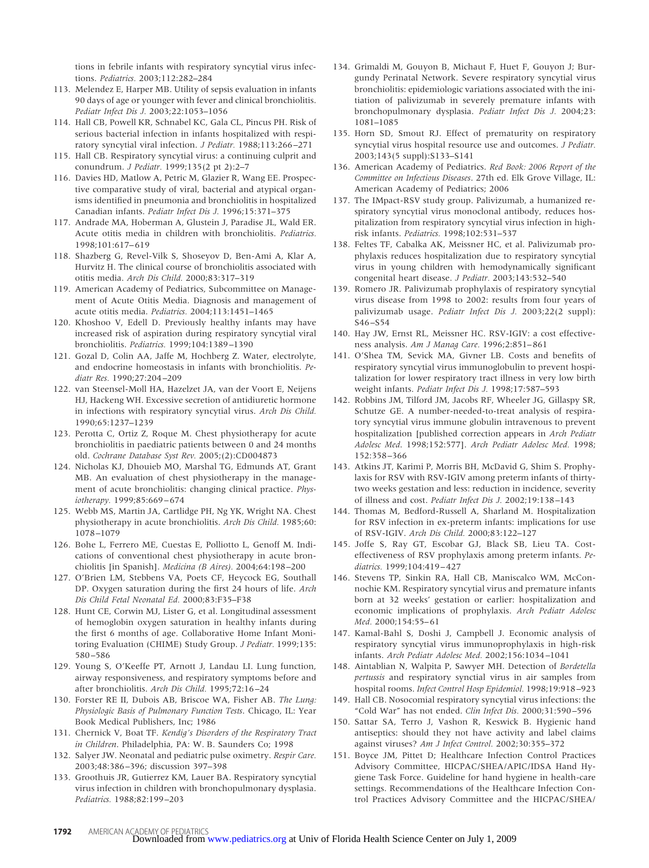tions in febrile infants with respiratory syncytial virus infections. *Pediatrics.* 2003;112:282–284

- 113. Melendez E, Harper MB. Utility of sepsis evaluation in infants 90 days of age or younger with fever and clinical bronchiolitis. *Pediatr Infect Dis J.* 2003;22:1053–1056
- 114. Hall CB, Powell KR, Schnabel KC, Gala CL, Pincus PH. Risk of serious bacterial infection in infants hospitalized with respiratory syncytial viral infection. *J Pediatr.* 1988;113:266 –271
- 115. Hall CB. Respiratory syncytial virus: a continuing culprit and conundrum. *J Pediatr.* 1999;135(2 pt 2):2–7
- 116. Davies HD, Matlow A, Petric M, Glazier R, Wang EE. Prospective comparative study of viral, bacterial and atypical organisms identified in pneumonia and bronchiolitis in hospitalized Canadian infants. *Pediatr Infect Dis J.* 1996;15:371–375
- 117. Andrade MA, Hoberman A, Glustein J, Paradise JL, Wald ER. Acute otitis media in children with bronchiolitis. *Pediatrics.* 1998;101:617– 619
- 118. Shazberg G, Revel-Vilk S, Shoseyov D, Ben-Ami A, Klar A, Hurvitz H. The clinical course of bronchiolitis associated with otitis media. *Arch Dis Child.* 2000;83:317–319
- 119. American Academy of Pediatrics, Subcommittee on Management of Acute Otitis Media. Diagnosis and management of acute otitis media. *Pediatrics.* 2004;113:1451–1465
- 120. Khoshoo V, Edell D. Previously healthy infants may have increased risk of aspiration during respiratory syncytial viral bronchiolitis. *Pediatrics.* 1999;104:1389 –1390
- 121. Gozal D, Colin AA, Jaffe M, Hochberg Z. Water, electrolyte, and endocrine homeostasis in infants with bronchiolitis. *Pediatr Res.* 1990;27:204 –209
- 122. van Steensel-Moll HA, Hazelzet JA, van der Voort E, Neijens HJ, Hackeng WH. Excessive secretion of antidiuretic hormone in infections with respiratory syncytial virus. *Arch Dis Child.* 1990;65:1237–1239
- 123. Perotta C, Ortiz Z, Roque M. Chest physiotherapy for acute bronchiolitis in paediatric patients between 0 and 24 months old. *Cochrane Database Syst Rev.* 2005;(2):CD004873
- 124. Nicholas KJ, Dhouieb MO, Marshal TG, Edmunds AT, Grant MB. An evaluation of chest physiotherapy in the management of acute bronchiolitis: changing clinical practice. *Physiotherapy.* 1999;85:669 – 674
- 125. Webb MS, Martin JA, Cartlidge PH, Ng YK, Wright NA. Chest physiotherapy in acute bronchiolitis. *Arch Dis Child.* 1985;60: 1078 –1079
- 126. Bohe L, Ferrero ME, Cuestas E, Polliotto L, Genoff M. Indications of conventional chest physiotherapy in acute bronchiolitis [in Spanish]. *Medicina (B Aires).* 2004;64:198 –200
- 127. O'Brien LM, Stebbens VA, Poets CF, Heycock EG, Southall DP. Oxygen saturation during the first 24 hours of life. *Arch Dis Child Fetal Neonatal Ed.* 2000;83:F35–F38
- 128. Hunt CE, Corwin MJ, Lister G, et al. Longitudinal assessment of hemoglobin oxygen saturation in healthy infants during the first 6 months of age. Collaborative Home Infant Monitoring Evaluation (CHIME) Study Group. *J Pediatr.* 1999;135: 580 –586
- 129. Young S, O'Keeffe PT, Arnott J, Landau LI. Lung function, airway responsiveness, and respiratory symptoms before and after bronchiolitis. *Arch Dis Child.* 1995;72:16 –24
- 130. Forster RE II, Dubois AB, Briscoe WA, Fisher AB. *The Lung: Physiologic Basis of Pulmonary Function Tests*. Chicago, IL: Year Book Medical Publishers, Inc; 1986
- 131. Chernick V, Boat TF. *Kendig's Disorders of the Respiratory Tract in Children*. Philadelphia, PA: W. B. Saunders Co; 1998
- 132. Salyer JW. Neonatal and pediatric pulse oximetry. *Respir Care.* 2003;48:386 –396; discussion 397–398
- 133. Groothuis JR, Gutierrez KM, Lauer BA. Respiratory syncytial virus infection in children with bronchopulmonary dysplasia. *Pediatrics.* 1988;82:199 –203
- 134. Grimaldi M, Gouyon B, Michaut F, Huet F, Gouyon J; Burgundy Perinatal Network. Severe respiratory syncytial virus bronchiolitis: epidemiologic variations associated with the initiation of palivizumab in severely premature infants with bronchopulmonary dysplasia. *Pediatr Infect Dis J.* 2004;23: 1081–1085
- 135. Horn SD, Smout RJ. Effect of prematurity on respiratory syncytial virus hospital resource use and outcomes. *J Pediatr.* 2003;143(5 suppl):S133–S141
- 136. American Academy of Pediatrics. *Red Book: 2006 Report of the Committee on Infectious Diseases*. 27th ed. Elk Grove Village, IL: American Academy of Pediatrics; 2006
- 137. The IMpact-RSV study group. Palivizumab, a humanized respiratory syncytial virus monoclonal antibody, reduces hospitalization from respiratory syncytial virus infection in highrisk infants. *Pediatrics.* 1998;102:531–537
- 138. Feltes TF, Cabalka AK, Meissner HC, et al. Palivizumab prophylaxis reduces hospitalization due to respiratory syncytial virus in young children with hemodynamically significant congenital heart disease. *J Pediatr.* 2003;143:532–540
- 139. Romero JR. Palivizumab prophylaxis of respiratory syncytial virus disease from 1998 to 2002: results from four years of palivizumab usage. *Pediatr Infect Dis J.* 2003;22(2 suppl): S46 –S54
- 140. Hay JW, Ernst RL, Meissner HC. RSV-IGIV: a cost effectiveness analysis. *Am J Manag Care.* 1996;2:851– 861
- 141. O'Shea TM, Sevick MA, Givner LB. Costs and benefits of respiratory syncytial virus immunoglobulin to prevent hospitalization for lower respiratory tract illness in very low birth weight infants. *Pediatr Infect Dis J.* 1998;17:587–593
- 142. Robbins JM, Tilford JM, Jacobs RF, Wheeler JG, Gillaspy SR, Schutze GE. A number-needed-to-treat analysis of respiratory syncytial virus immune globulin intravenous to prevent hospitalization [published correction appears in *Arch Pediatr Adolesc Med*. 1998;152:577]. *Arch Pediatr Adolesc Med.* 1998; 152:358 –366
- 143. Atkins JT, Karimi P, Morris BH, McDavid G, Shim S. Prophylaxis for RSV with RSV-IGIV among preterm infants of thirtytwo weeks gestation and less: reduction in incidence, severity of illness and cost. *Pediatr Infect Dis J.* 2002;19:138 –143
- 144. Thomas M, Bedford-Russell A, Sharland M. Hospitalization for RSV infection in ex-preterm infants: implications for use of RSV-IGIV. *Arch Dis Child.* 2000;83:122–127
- 145. Joffe S, Ray GT, Escobar GJ, Black SB, Lieu TA. Costeffectiveness of RSV prophylaxis among preterm infants. *Pediatrics.* 1999;104:419 – 427
- 146. Stevens TP, Sinkin RA, Hall CB, Maniscalco WM, McConnochie KM. Respiratory syncytial virus and premature infants born at 32 weeks' gestation or earlier: hospitalization and economic implications of prophylaxis. *Arch Pediatr Adolesc Med.* 2000;154:55– 61
- 147. Kamal-Bahl S, Doshi J, Campbell J. Economic analysis of respiratory syncytial virus immunoprophylaxis in high-risk infants. *Arch Pediatr Adolesc Med.* 2002;156:1034 –1041
- 148. Aintablian N, Walpita P, Sawyer MH. Detection of *Bordetella pertussis* and respiratory synctial virus in air samples from hospital rooms. *Infect Control Hosp Epidemiol.* 1998;19:918 –923
- 149. Hall CB. Nosocomial respiratory syncytial virus infections: the "Cold War" has not ended. *Clin Infect Dis.* 2000;31:590 –596
- 150. Sattar SA, Terro J, Vashon R, Keswick B. Hygienic hand antiseptics: should they not have activity and label claims against viruses? *Am J Infect Control.* 2002;30:355–372
- 151. Boyce JM, Pittet D; Healthcare Infection Control Practices Advisory Committee, HICPAC/SHEA/APIC/IDSA Hand Hygiene Task Force. Guideline for hand hygiene in health-care settings. Recommendations of the Healthcare Infection Control Practices Advisory Committee and the HICPAC/SHEA/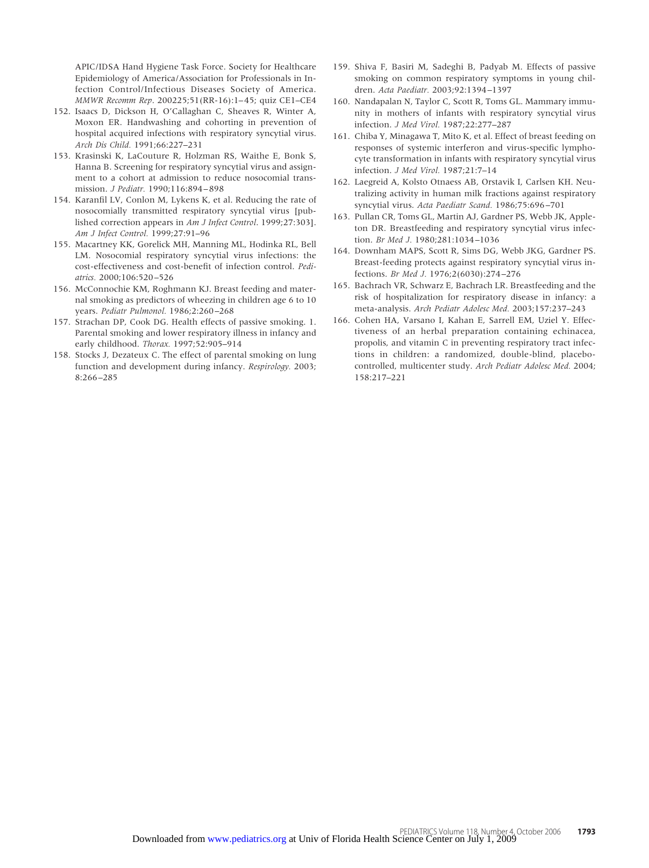APIC/IDSA Hand Hygiene Task Force. Society for Healthcare Epidemiology of America/Association for Professionals in Infection Control/Infectious Diseases Society of America. *MMWR Recomm Rep.* 200225;51(RR-16):1-45; quiz CE1-CE4

- 152. Isaacs D, Dickson H, O'Callaghan C, Sheaves R, Winter A, Moxon ER. Handwashing and cohorting in prevention of hospital acquired infections with respiratory syncytial virus. *Arch Dis Child.* 1991;66:227–231
- 153. Krasinski K, LaCouture R, Holzman RS, Waithe E, Bonk S, Hanna B. Screening for respiratory syncytial virus and assignment to a cohort at admission to reduce nosocomial transmission. *J Pediatr.* 1990;116:894 – 898
- 154. Karanfil LV, Conlon M, Lykens K, et al. Reducing the rate of nosocomially transmitted respiratory syncytial virus [published correction appears in *Am J Infect Control*. 1999;27:303]. *Am J Infect Control.* 1999;27:91–96
- 155. Macartney KK, Gorelick MH, Manning ML, Hodinka RL, Bell LM. Nosocomial respiratory syncytial virus infections: the cost-effectiveness and cost-benefit of infection control. *Pediatrics.* 2000;106:520 –526
- 156. McConnochie KM, Roghmann KJ. Breast feeding and maternal smoking as predictors of wheezing in children age 6 to 10 years. *Pediatr Pulmonol.* 1986;2:260 –268
- 157. Strachan DP, Cook DG. Health effects of passive smoking. 1. Parental smoking and lower respiratory illness in infancy and early childhood. *Thorax.* 1997;52:905–914
- 158. Stocks J, Dezateux C. The effect of parental smoking on lung function and development during infancy. *Respirology.* 2003; 8:266 –285
- 159. Shiva F, Basiri M, Sadeghi B, Padyab M. Effects of passive smoking on common respiratory symptoms in young children. *Acta Paediatr.* 2003;92:1394 –1397
- 160. Nandapalan N, Taylor C, Scott R, Toms GL. Mammary immunity in mothers of infants with respiratory syncytial virus infection. *J Med Virol.* 1987;22:277–287
- 161. Chiba Y, Minagawa T, Mito K, et al. Effect of breast feeding on responses of systemic interferon and virus-specific lymphocyte transformation in infants with respiratory syncytial virus infection. *J Med Virol.* 1987;21:7–14
- 162. Laegreid A, Kolsto Otnaess AB, Orstavik I, Carlsen KH. Neutralizing activity in human milk fractions against respiratory syncytial virus. *Acta Paediatr Scand.* 1986;75:696 –701
- 163. Pullan CR, Toms GL, Martin AJ, Gardner PS, Webb JK, Appleton DR. Breastfeeding and respiratory syncytial virus infection. *Br Med J.* 1980;281:1034 –1036
- 164. Downham MAPS, Scott R, Sims DG, Webb JKG, Gardner PS. Breast-feeding protects against respiratory syncytial virus infections. *Br Med J.* 1976;2(6030):274 –276
- 165. Bachrach VR, Schwarz E, Bachrach LR. Breastfeeding and the risk of hospitalization for respiratory disease in infancy: a meta-analysis. *Arch Pediatr Adolesc Med.* 2003;157:237–243
- 166. Cohen HA, Varsano I, Kahan E, Sarrell EM, Uziel Y. Effectiveness of an herbal preparation containing echinacea, propolis, and vitamin C in preventing respiratory tract infections in children: a randomized, double-blind, placebocontrolled, multicenter study. *Arch Pediatr Adolesc Med.* 2004; 158:217–221